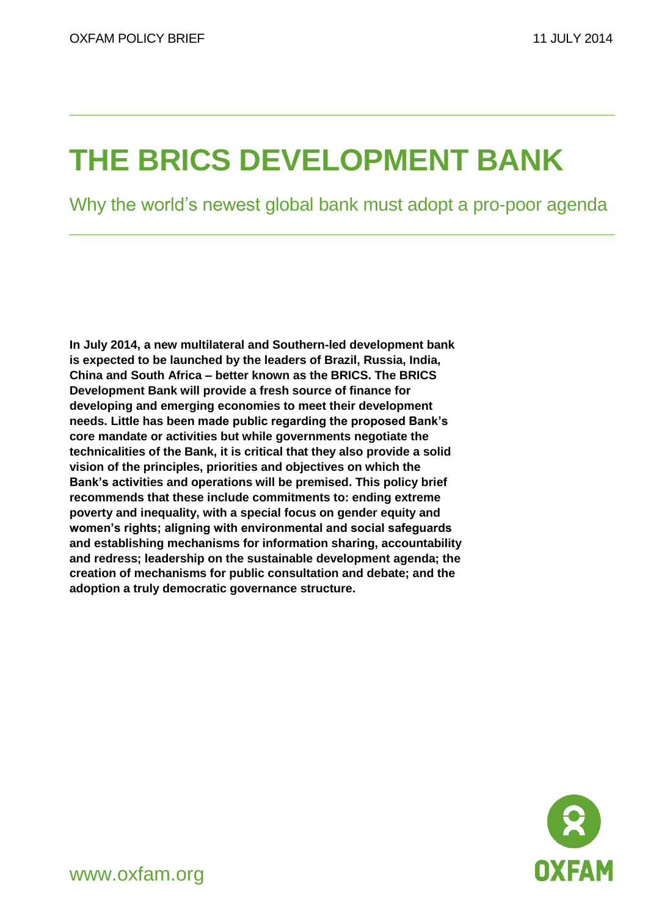# **THE BRICS DEVELOPMENT BANK**

Why the world's newest global bank must adopt a pro-poor agenda

**In July 2014, a new multilateral and Southern-led development bank is expected to be launched by the leaders of Brazil, Russia, India, China and South Africa – better known as the BRICS. The BRICS Development Bank will provide a fresh source of finance for developing and emerging economies to meet their development needs. Little has been made public regarding the proposed Bank's core mandate or activities but while governments negotiate the technicalities of the Bank, it is critical that they also provide a solid vision of the principles, priorities and objectives on which the Bank's activities and operations will be premised. This policy brief recommends that these include commitments to: ending extreme poverty and inequality, with a special focus on gender equity and women's rights; aligning with environmental and social safeguards and establishing mechanisms for information sharing, accountability and redress; leadership on the sustainable development agenda; the creation of mechanisms for public consultation and debate; and the adoption a truly democratic governance structure.**



www.oxfam.org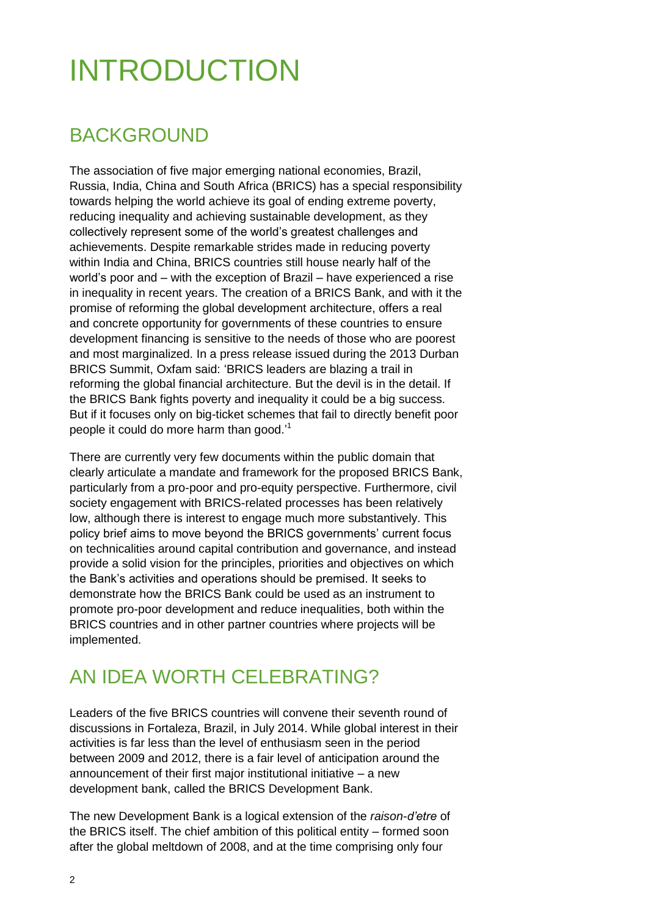# INTRODUCTION

### BACKGROUND

The association of five major emerging national economies, Brazil, Russia, India, China and South Africa (BRICS) has a special responsibility towards helping the world achieve its goal of ending extreme poverty, reducing inequality and achieving sustainable development, as they collectively represent some of the world's greatest challenges and achievements. Despite remarkable strides made in reducing poverty within India and China, BRICS countries still house nearly half of the world's poor and – with the exception of Brazil – have experienced a rise in inequality in recent years. The creation of a BRICS Bank, and with it the promise of reforming the global development architecture, offers a real and concrete opportunity for governments of these countries to ensure development financing is sensitive to the needs of those who are poorest and most marginalized. In a press release issued during the 2013 Durban BRICS Summit, Oxfam said: 'BRICS leaders are blazing a trail in reforming the global financial architecture. But the devil is in the detail. If the BRICS Bank fights poverty and inequality it could be a big success. But if it focuses only on big-ticket schemes that fail to directly benefit poor people it could do more harm than good.<sup>1</sup>

There are currently very few documents within the public domain that clearly articulate a mandate and framework for the proposed BRICS Bank, particularly from a pro-poor and pro-equity perspective. Furthermore, civil society engagement with BRICS-related processes has been relatively low, although there is interest to engage much more substantively. This policy brief aims to move beyond the BRICS governments' current focus on technicalities around capital contribution and governance, and instead provide a solid vision for the principles, priorities and objectives on which the Bank's activities and operations should be premised. It seeks to demonstrate how the BRICS Bank could be used as an instrument to promote pro-poor development and reduce inequalities, both within the BRICS countries and in other partner countries where projects will be implemented.

### AN IDEA WORTH CELEBRATING?

Leaders of the five BRICS countries will convene their seventh round of discussions in Fortaleza, Brazil, in July 2014. While global interest in their activities is far less than the level of enthusiasm seen in the period between 2009 and 2012, there is a fair level of anticipation around the announcement of their first major institutional initiative – a new development bank, called the BRICS Development Bank.

The new Development Bank is a logical extension of the *raison-d'etre* of the BRICS itself. The chief ambition of this political entity – formed soon after the global meltdown of 2008, and at the time comprising only four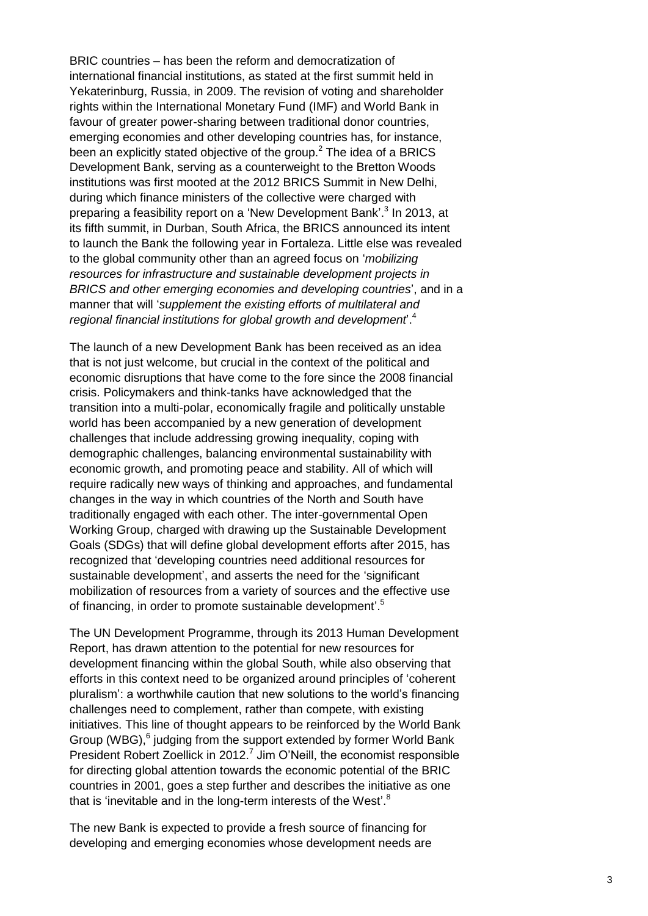BRIC countries – has been the reform and democratization of international financial institutions, as stated at the first summit held in Yekaterinburg, Russia, in 2009. The revision of voting and shareholder rights within the International Monetary Fund (IMF) and World Bank in favour of greater power -sharing between traditional donor countries, emerging economies and other developing countries has, for instance, been an explicitly stated objective of the group.<sup>2</sup> The idea of a BRICS Development Bank, serving as a counterweight to the Bretton Woods institutions was first mooted at the 2012 BRICS Summit in New Delhi, during which finance ministers of the collective were charged with preparing a feasibility report on a 'New Development Bank'.<sup>3</sup> In 2013, at its fifth summit , in Durban, South Africa, the BRICS announced its intent to launch the Bank the following year in Fortaleza . Little else was revealed to the global community other than an agreed focus on '*mobilizing resources for infrastructure and sustainable development projects in BRICS and other emerging economies and developing countries* ', and in a manner that will '*supplement the existing efforts of multilateral and regional financial institutions for global growth and development*' . 4

The launch of a new Development Bank has been received as an idea that is not just welcome, but crucial in the context of the political and economic disruptions that have come to the fore since the 2008 financial crisis. Policymakers and think -tanks have acknowledged that the transition into a multi -polar, economically fragile and politically unstable world has been accompanied by a new generation of development challenges that include addressing growing inequality, coping with demographic challenges, balancing environmental sustainability with economic growth , and promoting peace and stability . All of which will require radically new ways of thinking and approaches , and fundamental changes in the way in which countries of the North and South have traditionally engaged with each other. The inter -governmental Open Working Group, charged with drawing up the Sustainable Development Goals (SDGs) that will define global development efforts after 2015, has recognized that 'developing countries need additional resources for sustainable development', and asserts the need for the 'significant mobilization of resources from a variety of sources and the effective use of financing, in order to promote sustainable development'.<sup>5</sup>

The UN Development Programme, through its 2013 Human Development Report, has drawn attention to the potential for new resources for development financing within the global South, while also observing that efforts in this context need to be organized around principles of 'coherent pluralism': a worthwhile caution that new solutions to the world's financing challenges need to complement, rather than compete, with existing initiatives. This line of thought appears to be reinforced by the World Bank Group (WBG),<sup>6</sup> judging from the support extended by former World Bank President Robert Zoellick in 2012.<sup>7</sup> Jim O'Neill, the economist responsible for directing global attention towards the economic potential of the BRIC countries in 2001, goes a step further and describes the initiative as one that is 'inevitable and in the long-term interests of the West'.<sup>8</sup>

The new Bank is expected to provide a fresh source of financing for developing and emerging economies whose development needs are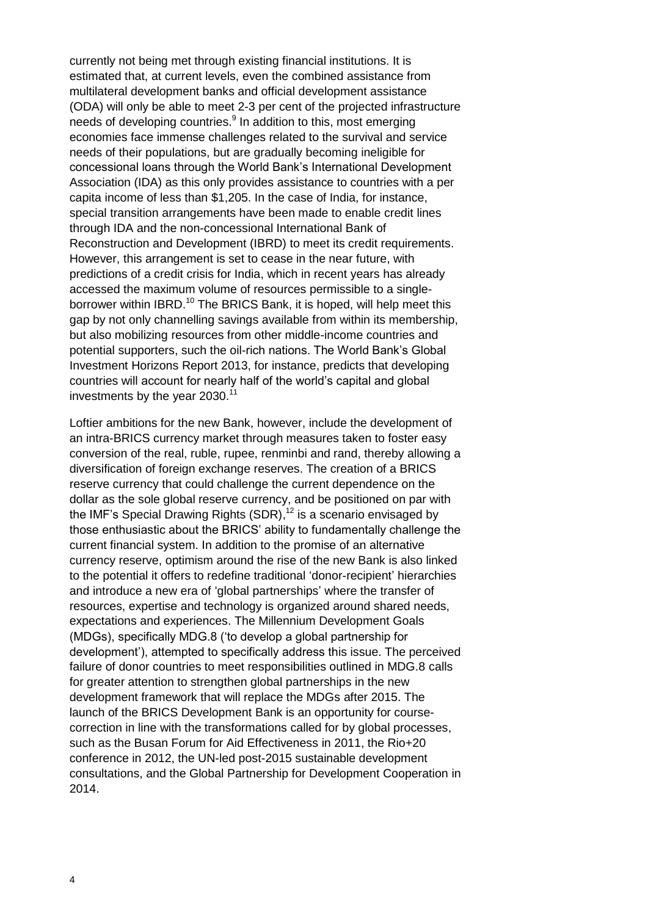currently not being met through existing financial institutions. It is estimated that, at current levels, even the combined assistance from multilateral development banks and official development assistance (ODA) will only be able to meet 2-3 per cent of the projected infrastructure needs of developing countries.<sup>9</sup> In addition to this, most emerging economies face immense challenges related to the survival and service needs of their populations, but are gradually becoming ineligible for concessional loans through the World Bank's International Development Association (IDA) as this only provides assistance to countries with a per capita income of less than \$1,205. In the case of India, for instance, special transition arrangements have been made to enable credit lines through IDA and the non-concessional International Bank of Reconstruction and Development (IBRD) to meet its credit requirements. However, this arrangement is set to cease in the near future, with predictions of a credit crisis for India, which in recent years has already accessed the maximum volume of resources permissible to a singleborrower within IBRD.<sup>10</sup> The BRICS Bank, it is hoped, will help meet this gap by not only channelling savings available from within its membership, but also mobilizing resources from other middle-income countries and potential supporters, such the oil-rich nations. The World Bank's Global Investment Horizons Report 2013, for instance, predicts that developing countries will account for nearly half of the world's capital and global investments by the year 2030.<sup>11</sup>

Loftier ambitions for the new Bank, however, include the development of an intra-BRICS currency market through measures taken to foster easy conversion of the real, ruble, rupee, renminbi and rand, thereby allowing a diversification of foreign exchange reserves. The creation of a BRICS reserve currency that could challenge the current dependence on the dollar as the sole global reserve currency, and be positioned on par with the IMF's Special Drawing Rights (SDR),<sup>12</sup> is a scenario envisaged by those enthusiastic about the BRICS' ability to fundamentally challenge the current financial system. In addition to the promise of an alternative currency reserve, optimism around the rise of the new Bank is also linked to the potential it offers to redefine traditional 'donor-recipient' hierarchies and introduce a new era of 'global partnerships' where the transfer of resources, expertise and technology is organized around shared needs, expectations and experiences. The Millennium Development Goals (MDGs), specifically MDG.8 ('to develop a global partnership for development'), attempted to specifically address this issue. The perceived failure of donor countries to meet responsibilities outlined in MDG.8 calls for greater attention to strengthen global partnerships in the new development framework that will replace the MDGs after 2015. The launch of the BRICS Development Bank is an opportunity for coursecorrection in line with the transformations called for by global processes, such as the Busan Forum for Aid Effectiveness in 2011, the Rio+20 conference in 2012, the UN-led post-2015 sustainable development consultations, and the Global Partnership for Development Cooperation in 2014.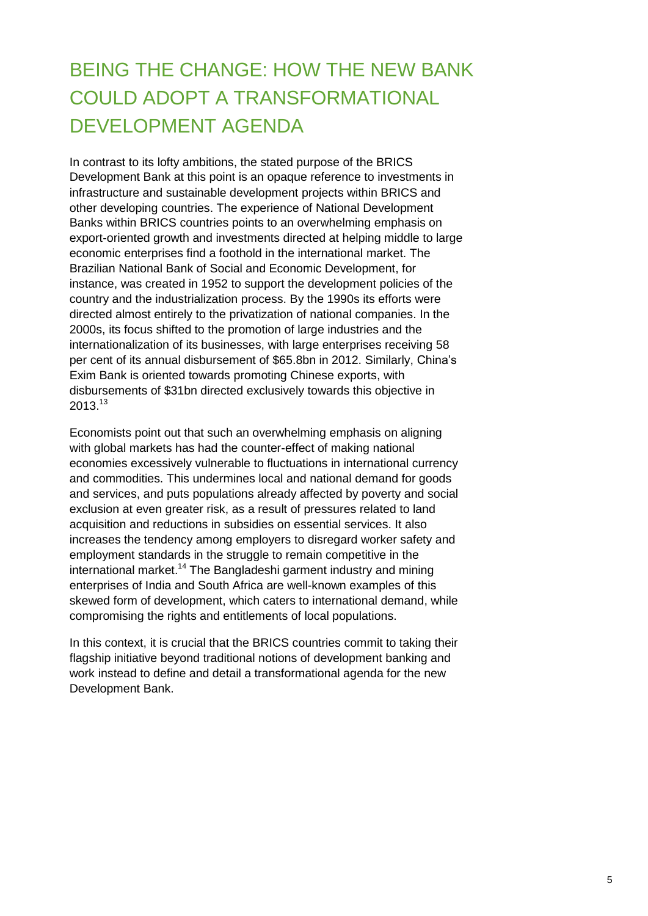### BEING THE CHANGE: HOW THE NEW BANK COULD ADOPT A TRANSFORMATIONAL DEVELOPMENT AGENDA

In contrast to its lofty ambitions, the stated purpose of the BRICS Development Bank at this point is an opaque reference to investments in infrastructure and sustainable development projects within BRICS and other developing countries. The experience of National Development Banks within BRICS countries points to an overwhelming emphasis on export-oriented growth and investments directed at helping middle to large economic enterprises find a foothold in the international market. The Brazilian National Bank of Social and Economic Development, for instance, was created in 1952 to support the development policies of the country and the industrialization process. By the 1990s its efforts were directed almost entirely to the privatization of national companies. In the 2000s, its focus shifted to the promotion of large industries and the internationalization of its businesses, with large enterprises receiving 58 per cent of its annual disbursement of \$65.8bn in 2012. Similarly, China's Exim Bank is oriented towards promoting Chinese exports, with disbursements of \$31bn directed exclusively towards this objective in  $2013.^{13}$ 

Economists point out that such an overwhelming emphasis on aligning with global markets has had the counter-effect of making national economies excessively vulnerable to fluctuations in international currency and commodities. This undermines local and national demand for goods and services, and puts populations already affected by poverty and social exclusion at even greater risk, as a result of pressures related to land acquisition and reductions in subsidies on essential services. It also increases the tendency among employers to disregard worker safety and employment standards in the struggle to remain competitive in the international market.<sup>14</sup> The Bangladeshi garment industry and mining enterprises of India and South Africa are well-known examples of this skewed form of development, which caters to international demand, while compromising the rights and entitlements of local populations.

In this context, it is crucial that the BRICS countries commit to taking their flagship initiative beyond traditional notions of development banking and work instead to define and detail a transformational agenda for the new Development Bank.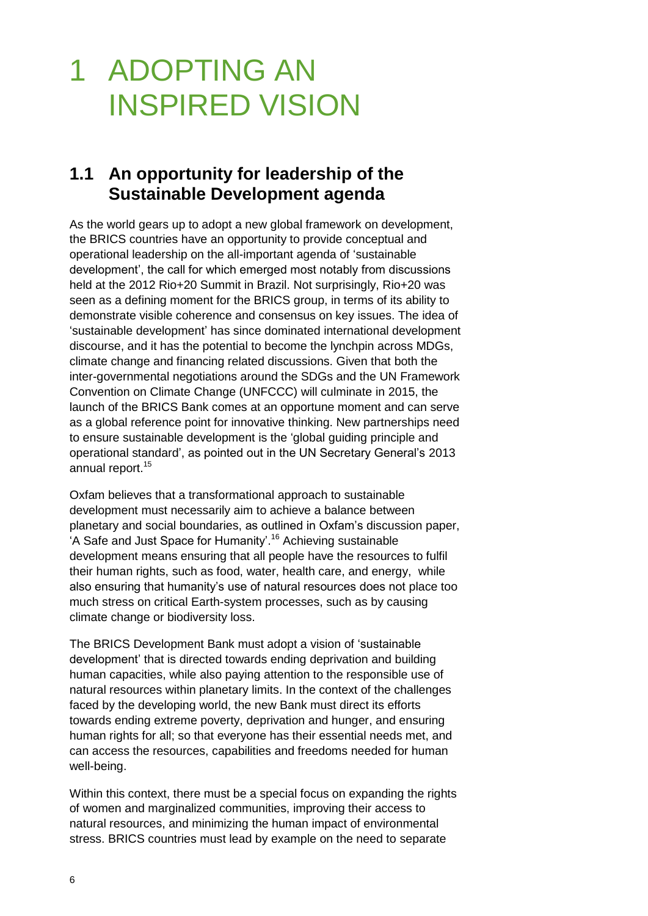# 1 ADOPTING AN INSPIRED VISION

#### **1.1 An opportunity for leadership of the Sustainable Development agenda**

As the world gears up to adopt a new global framework on development, the BRICS countries have an opportunity to provide conceptual and operational leadership on the all-important agenda of 'sustainable development', the call for which emerged most notably from discussions held at the 2012 Rio+20 Summit in Brazil. Not surprisingly, Rio+20 was seen as a defining moment for the BRICS group, in terms of its ability to demonstrate visible coherence and consensus on key issues. The idea of 'sustainable development' has since dominated international development discourse, and it has the potential to become the lynchpin across MDGs, climate change and financing related discussions. Given that both the inter-governmental negotiations around the SDGs and the UN Framework Convention on Climate Change (UNFCCC) will culminate in 2015, the launch of the BRICS Bank comes at an opportune moment and can serve as a global reference point for innovative thinking. New partnerships need to ensure sustainable development is the 'global guiding principle and operational standard', as pointed out in the UN Secretary General's 2013 annual report.<sup>15</sup>

Oxfam believes that a transformational approach to sustainable development must necessarily aim to achieve a balance between planetary and social boundaries, as outlined in Oxfam's discussion paper, 'A Safe and Just Space for Humanity'. <sup>16</sup> Achieving sustainable development means ensuring that all people have the resources to fulfil their human rights, such as food, water, health care, and energy, while also ensuring that humanity's use of natural resources does not place too much stress on critical Earth-system processes, such as by causing climate change or biodiversity loss.

The BRICS Development Bank must adopt a vision of 'sustainable development' that is directed towards ending deprivation and building human capacities, while also paying attention to the responsible use of natural resources within planetary limits. In the context of the challenges faced by the developing world, the new Bank must direct its efforts towards ending extreme poverty, deprivation and hunger, and ensuring human rights for all; so that everyone has their essential needs met, and can access the resources, capabilities and freedoms needed for human well-being.

Within this context, there must be a special focus on expanding the rights of women and marginalized communities, improving their access to natural resources, and minimizing the human impact of environmental stress. BRICS countries must lead by example on the need to separate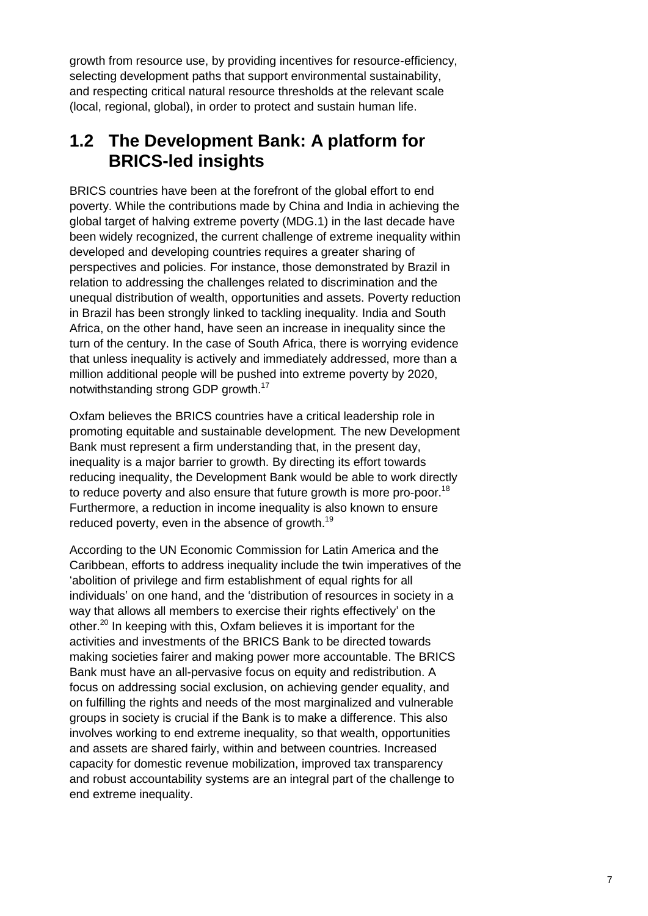growth from resource use, by providing incentives for resource-efficiency, selecting development paths that support environmental sustainability, and respecting critical natural resource thresholds at the relevant scale (local, regional, global), in order to protect and sustain human life.

#### **1.2 The Development Bank: A platform for BRICS-led insights**

BRICS countries have been at the forefront of the global effort to end poverty. While the contributions made by China and India in achieving the global target of halving extreme poverty (MDG.1) in the last decade have been widely recognized, the current challenge of extreme inequality within developed and developing countries requires a greater sharing of perspectives and policies. For instance, those demonstrated by Brazil in relation to addressing the challenges related to discrimination and the unequal distribution of wealth, opportunities and assets. Poverty reduction in Brazil has been strongly linked to tackling inequality. India and South Africa, on the other hand, have seen an increase in inequality since the turn of the century. In the case of South Africa, there is worrying evidence that unless inequality is actively and immediately addressed, more than a million additional people will be pushed into extreme poverty by 2020, notwithstanding strong GDP growth.<sup>17</sup>

Oxfam believes the BRICS countries have a critical leadership role in promoting equitable and sustainable development*.* The new Development Bank must represent a firm understanding that, in the present day, inequality is a major barrier to growth. By directing its effort towards reducing inequality, the Development Bank would be able to work directly to reduce poverty and also ensure that future growth is more pro-poor.<sup>18</sup> Furthermore, a reduction in income inequality is also known to ensure reduced poverty, even in the absence of growth.<sup>19</sup>

According to the UN Economic Commission for Latin America and the Caribbean, efforts to address inequality include the twin imperatives of the 'abolition of privilege and firm establishment of equal rights for all individuals' on one hand, and the 'distribution of resources in society in a way that allows all members to exercise their rights effectively' on the other.<sup>20</sup> In keeping with this, Oxfam believes it is important for the activities and investments of the BRICS Bank to be directed towards making societies fairer and making power more accountable. The BRICS Bank must have an all-pervasive focus on equity and redistribution. A focus on addressing social exclusion, on achieving gender equality, and on fulfilling the rights and needs of the most marginalized and vulnerable groups in society is crucial if the Bank is to make a difference. This also involves working to end extreme inequality, so that wealth, opportunities and assets are shared fairly, within and between countries. Increased capacity for domestic revenue mobilization, improved tax transparency and robust accountability systems are an integral part of the challenge to end extreme inequality.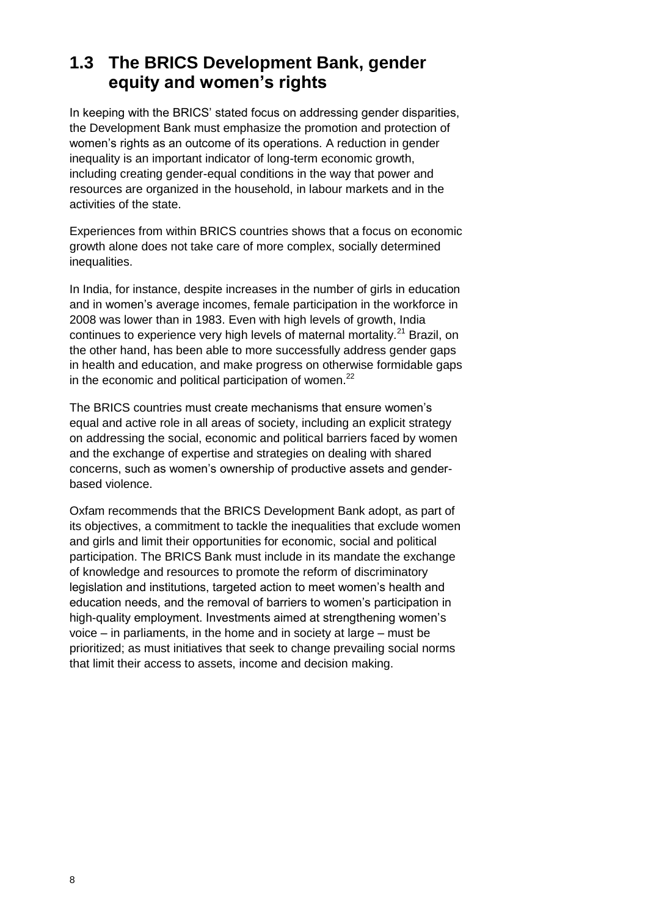### **1.3 The BRICS Development Bank, gender equity and women's rights**

In keeping with the BRICS' stated focus on addressing gender disparities, the Development Bank must emphasize the promotion and protection of women's rights as an outcome of its operations. A reduction in gender inequality is an important indicator of long-term economic growth, including creating gender-equal conditions in the way that power and resources are organized in the household, in labour markets and in the activities of the state.

Experiences from within BRICS countries shows that a focus on economic growth alone does not take care of more complex, socially determined inequalities.

In India, for instance, despite increases in the number of girls in education and in women's average incomes, female participation in the workforce in 2008 was lower than in 1983. Even with high levels of growth, India continues to experience very high levels of maternal mortality.<sup>21</sup> Brazil, on the other hand, has been able to more successfully address gender gaps in health and education, and make progress on otherwise formidable gaps in the economic and political participation of women. $^{22}$ 

The BRICS countries must create mechanisms that ensure women's equal and active role in all areas of society, including an explicit strategy on addressing the social, economic and political barriers faced by women and the exchange of expertise and strategies on dealing with shared concerns, such as women's ownership of productive assets and genderbased violence.

Oxfam recommends that the BRICS Development Bank adopt, as part of its objectives, a commitment to tackle the inequalities that exclude women and girls and limit their opportunities for economic, social and political participation. The BRICS Bank must include in its mandate the exchange of knowledge and resources to promote the reform of discriminatory legislation and institutions, targeted action to meet women's health and education needs, and the removal of barriers to women's participation in high-quality employment. Investments aimed at strengthening women's voice – in parliaments, in the home and in society at large – must be prioritized; as must initiatives that seek to change prevailing social norms that limit their access to assets, income and decision making.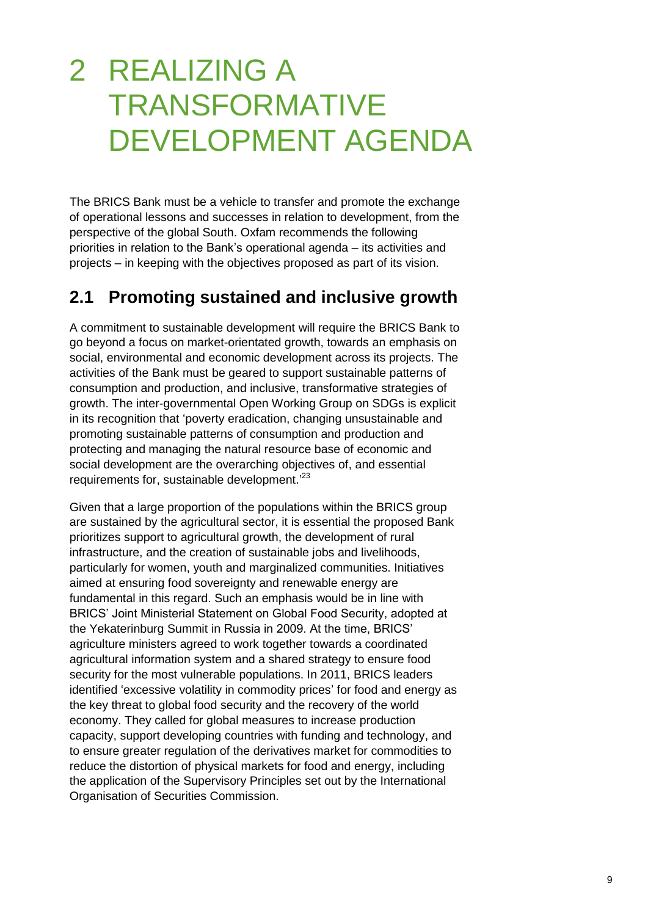## 2 REALIZING A TRANSFORMATIVE DEVELOPMENT AGENDA

The BRICS Bank must be a vehicle to transfer and promote the exchange of operational lessons and successes in relation to development, from the perspective of the global South. Oxfam recommends the following priorities in relation to the Bank's operational agenda – its activities and projects – in keeping with the objectives proposed as part of its vision.

#### **2.1 Promoting sustained and inclusive growth**

A commitment to sustainable development will require the BRICS Bank to go beyond a focus on market-orientated growth, towards an emphasis on social, environmental and economic development across its projects. The activities of the Bank must be geared to support sustainable patterns of consumption and production, and inclusive, transformative strategies of growth. The inter-governmental Open Working Group on SDGs is explicit in its recognition that 'poverty eradication, changing unsustainable and promoting sustainable patterns of consumption and production and protecting and managing the natural resource base of economic and social development are the overarching objectives of, and essential requirements for, sustainable development.<sup>23</sup>

Given that a large proportion of the populations within the BRICS group are sustained by the agricultural sector, it is essential the proposed Bank prioritizes support to agricultural growth, the development of rural infrastructure, and the creation of sustainable jobs and livelihoods, particularly for women, youth and marginalized communities. Initiatives aimed at ensuring food sovereignty and renewable energy are fundamental in this regard. Such an emphasis would be in line with BRICS' Joint Ministerial Statement on Global Food Security, adopted at the Yekaterinburg Summit in Russia in 2009. At the time, BRICS' agriculture ministers agreed to work together towards a coordinated agricultural information system and a shared strategy to ensure food security for the most vulnerable populations. In 2011, BRICS leaders identified 'excessive volatility in commodity prices' for food and energy as the key threat to global food security and the recovery of the world economy. They called for global measures to increase production capacity, support developing countries with funding and technology, and to ensure greater regulation of the derivatives market for commodities to reduce the distortion of physical markets for food and energy, including the application of the Supervisory Principles set out by the International Organisation of Securities Commission.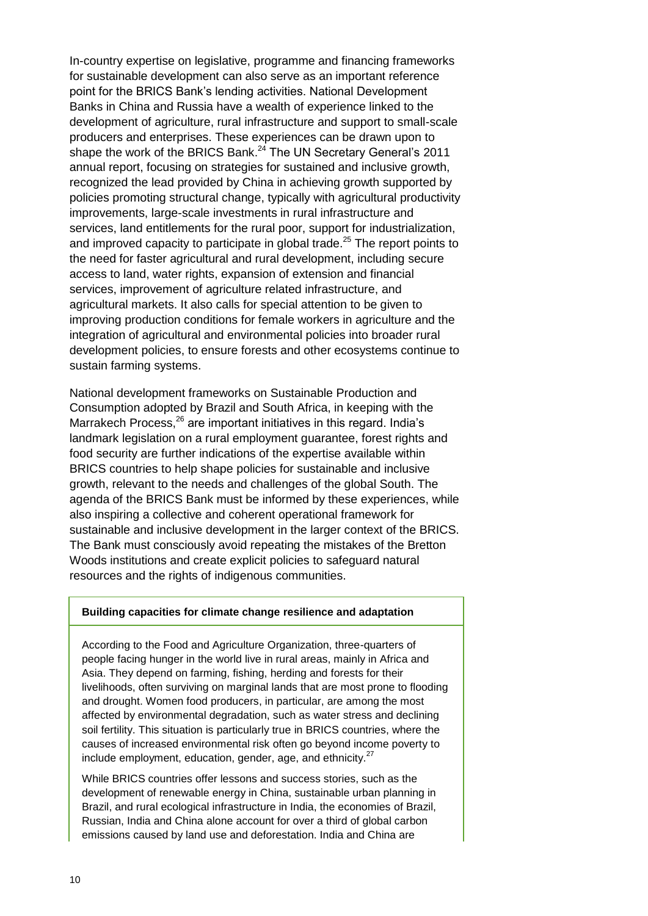In-country expertise on legislative, programme and financing frameworks for sustainable development can also serve as an important reference point for the BRICS Bank's lending activities. National Development Banks in China and Russia have a wealth of experience linked to the development of agriculture, rural infrastructure and support to small-scale producers and enterprises. These experiences can be drawn upon to shape the work of the BRICS Bank.<sup>24</sup> The UN Secretary General's 2011 annual report, focusing on strategies for sustained and inclusive growth, recognized the lead provided by China in achieving growth supported by policies promoting structural change, typically with agricultural productivity improvements, large-scale investments in rural infrastructure and services, land entitlements for the rural poor, support for industrialization, and improved capacity to participate in global trade.<sup>25</sup> The report points to the need for faster agricultural and rural development, including secure access to land, water rights, expansion of extension and financial services, improvement of agriculture related infrastructure, and agricultural markets. It also calls for special attention to be given to improving production conditions for female workers in agriculture and the integration of agricultural and environmental policies into broader rural development policies, to ensure forests and other ecosystems continue to sustain farming systems.

National development frameworks on Sustainable Production and Consumption adopted by Brazil and South Africa, in keeping with the Marrakech Process,<sup>26</sup> are important initiatives in this regard. India's landmark legislation on a rural employment guarantee, forest rights and food security are further indications of the expertise available within BRICS countries to help shape policies for sustainable and inclusive growth, relevant to the needs and challenges of the global South. The agenda of the BRICS Bank must be informed by these experiences, while also inspiring a collective and coherent operational framework for sustainable and inclusive development in the larger context of the BRICS. The Bank must consciously avoid repeating the mistakes of the Bretton Woods institutions and create explicit policies to safeguard natural resources and the rights of indigenous communities.

#### **Building capacities for climate change resilience and adaptation**

According to the Food and Agriculture Organization, three-quarters of people facing hunger in the world live in rural areas, mainly in Africa and Asia. They depend on farming, fishing, herding and forests for their livelihoods, often surviving on marginal lands that are most prone to flooding and drought. Women food producers, in particular, are among the most affected by environmental degradation, such as water stress and declining soil fertility. This situation is particularly true in BRICS countries, where the causes of increased environmental risk often go beyond income poverty to include employment, education, gender, age, and ethnicity.<sup>27</sup>

While BRICS countries offer lessons and success stories, such as the development of renewable energy in China, sustainable urban planning in Brazil, and rural ecological infrastructure in India, the economies of Brazil, Russian, India and China alone account for over a third of global carbon emissions caused by land use and deforestation. India and China are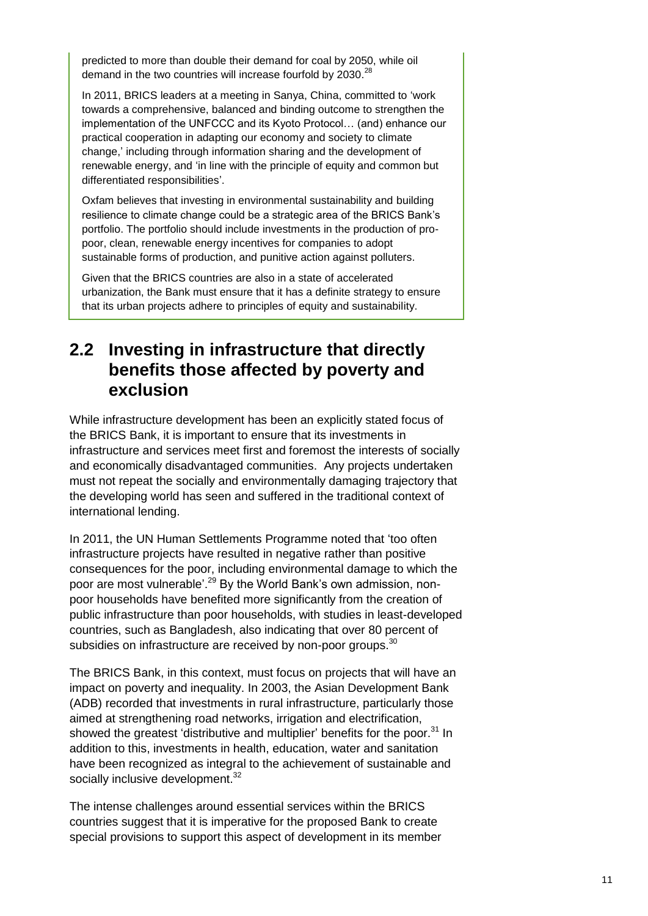predicted to more than double their demand for coal by 2050, while oil demand in the two countries will increase fourfold by 2030.<sup>28</sup>

In 2011, BRICS leaders at a meeting in Sanya, China, committed to 'work towards a comprehensive, balanced and binding outcome to strengthen the implementation of the UNFCCC and its Kyoto Protocol… (and) enhance our practical cooperation in adapting our economy and society to climate change,' including through information sharing and the development of renewable energy, and 'in line with the principle of equity and common but differentiated responsibilities'.

Oxfam believes that investing in environmental sustainability and building resilience to climate change could be a strategic area of the BRICS Bank's portfolio. The portfolio should include investments in the production of propoor, clean, renewable energy incentives for companies to adopt sustainable forms of production, and punitive action against polluters.

Given that the BRICS countries are also in a state of accelerated urbanization, the Bank must ensure that it has a definite strategy to ensure that its urban projects adhere to principles of equity and sustainability.

#### **2.2 Investing in infrastructure that directly benefits those affected by poverty and exclusion**

While infrastructure development has been an explicitly stated focus of the BRICS Bank, it is important to ensure that its investments in infrastructure and services meet first and foremost the interests of socially and economically disadvantaged communities. Any projects undertaken must not repeat the socially and environmentally damaging trajectory that the developing world has seen and suffered in the traditional context of international lending.

In 2011, the UN Human Settlements Programme noted that 'too often infrastructure projects have resulted in negative rather than positive consequences for the poor, including environmental damage to which the poor are most vulnerable<sup>'. 29</sup> By the World Bank's own admission, nonpoor households have benefited more significantly from the creation of public infrastructure than poor households, with studies in least-developed countries, such as Bangladesh, also indicating that over 80 percent of subsidies on infrastructure are received by non-poor groups. $^{30}$ 

The BRICS Bank, in this context, must focus on projects that will have an impact on poverty and inequality. In 2003, the Asian Development Bank (ADB) recorded that investments in rural infrastructure, particularly those aimed at strengthening road networks, irrigation and electrification, showed the greatest 'distributive and multiplier' benefits for the poor.<sup>31</sup> In addition to this, investments in health, education, water and sanitation have been recognized as integral to the achievement of sustainable and socially inclusive development.<sup>32</sup>

The intense challenges around essential services within the BRICS countries suggest that it is imperative for the proposed Bank to create special provisions to support this aspect of development in its member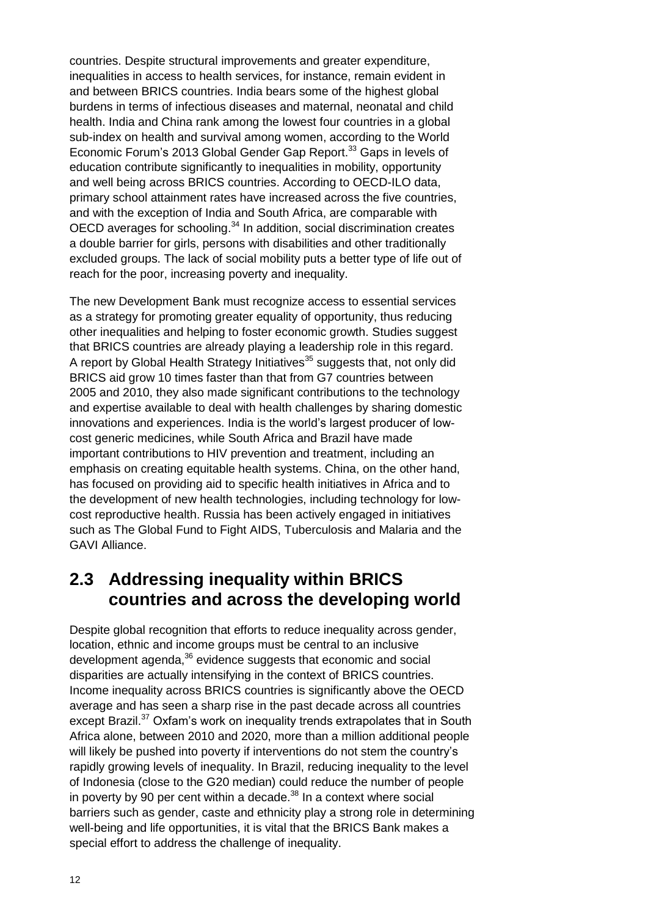countries. Despite structural improvements and greater expenditure, inequalities in access to health services, for instance, remain evident in and between BRICS countries. India bears some of the highest global burdens in terms of infectious diseases and maternal, neonatal and child health. India and China rank among the lowest four countries in a global sub-index on health and survival among women, according to the World Economic Forum's 2013 Global Gender Gap Report.<sup>33</sup> Gaps in levels of education contribute significantly to inequalities in mobility, opportunity and well being across BRICS countries. According to OECD-ILO data, primary school attainment rates have increased across the five countries, and with the exception of India and South Africa, are comparable with OECD averages for schooling.<sup>34</sup> In addition, social discrimination creates a double barrier for girls, persons with disabilities and other traditionally excluded groups. The lack of social mobility puts a better type of life out of reach for the poor, increasing poverty and inequality.

The new Development Bank must recognize access to essential services as a strategy for promoting greater equality of opportunity, thus reducing other inequalities and helping to foster economic growth. Studies suggest that BRICS countries are already playing a leadership role in this regard. A report by Global Health Strategy Initiatives<sup>35</sup> suggests that, not only did BRICS aid grow 10 times faster than that from G7 countries between 2005 and 2010, they also made significant contributions to the technology and expertise available to deal with health challenges by sharing domestic innovations and experiences. India is the world's largest producer of lowcost generic medicines, while South Africa and Brazil have made important contributions to HIV prevention and treatment, including an emphasis on creating equitable health systems. China, on the other hand, has focused on providing aid to specific health initiatives in Africa and to the development of new health technologies, including technology for lowcost reproductive health. Russia has been actively engaged in initiatives such as The Global Fund to Fight AIDS, Tuberculosis and Malaria and the GAVI Alliance.

#### **2.3 Addressing inequality within BRICS countries and across the developing world**

Despite global recognition that efforts to reduce inequality across gender, location, ethnic and income groups must be central to an inclusive development agenda,<sup>36</sup> evidence suggests that economic and social disparities are actually intensifying in the context of BRICS countries. Income inequality across BRICS countries is significantly above the OECD average and has seen a sharp rise in the past decade across all countries except Brazil.<sup>37</sup> Oxfam's work on inequality trends extrapolates that in South Africa alone, between 2010 and 2020, more than a million additional people will likely be pushed into poverty if interventions do not stem the country's rapidly growing levels of inequality. In Brazil, reducing inequality to the level of Indonesia (close to the G20 median) could reduce the number of people in poverty by 90 per cent within a decade.<sup>38</sup> In a context where social barriers such as gender, caste and ethnicity play a strong role in determining well-being and life opportunities, it is vital that the BRICS Bank makes a special effort to address the challenge of inequality.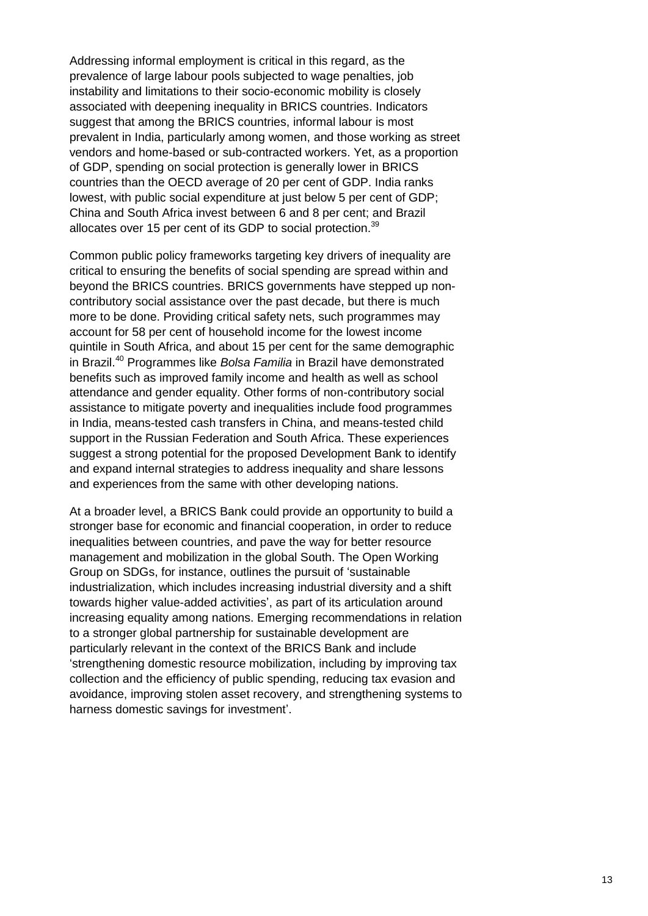Addressing informal employment is critical in this regard, as the prevalence of large labour pools subjected to wage penalties, job instability and limitations to their socio-economic mobility is closely associated with deepening inequality in BRICS countries. Indicators suggest that among the BRICS countries, informal labour is most prevalent in India, particularly among women, and those working as street vendors and home-based or sub-contracted workers. Yet, as a proportion of GDP, spending on social protection is generally lower in BRICS countries than the OECD average of 20 per cent of GDP. India ranks lowest, with public social expenditure at just below 5 per cent of GDP; China and South Africa invest between 6 and 8 per cent; and Brazil allocates over 15 per cent of its GDP to social protection.<sup>39</sup>

Common public policy frameworks targeting key drivers of inequality are critical to ensuring the benefits of social spending are spread within and beyond the BRICS countries. BRICS governments have stepped up noncontributory social assistance over the past decade, but there is much more to be done. Providing critical safety nets, such programmes may account for 58 per cent of household income for the lowest income quintile in South Africa, and about 15 per cent for the same demographic in Brazil. <sup>40</sup> Programmes like *Bolsa Familia* in Brazil have demonstrated benefits such as improved family income and health as well as school attendance and gender equality. Other forms of non-contributory social assistance to mitigate poverty and inequalities include food programmes in India, means-tested cash transfers in China, and means-tested child support in the Russian Federation and South Africa. These experiences suggest a strong potential for the proposed Development Bank to identify and expand internal strategies to address inequality and share lessons and experiences from the same with other developing nations.

At a broader level, a BRICS Bank could provide an opportunity to build a stronger base for economic and financial cooperation, in order to reduce inequalities between countries, and pave the way for better resource management and mobilization in the global South. The Open Working Group on SDGs, for instance, outlines the pursuit of 'sustainable industrialization, which includes increasing industrial diversity and a shift towards higher value-added activities', as part of its articulation around increasing equality among nations. Emerging recommendations in relation to a stronger global partnership for sustainable development are particularly relevant in the context of the BRICS Bank and include 'strengthening domestic resource mobilization, including by improving tax collection and the efficiency of public spending, reducing tax evasion and avoidance, improving stolen asset recovery, and strengthening systems to harness domestic savings for investment'.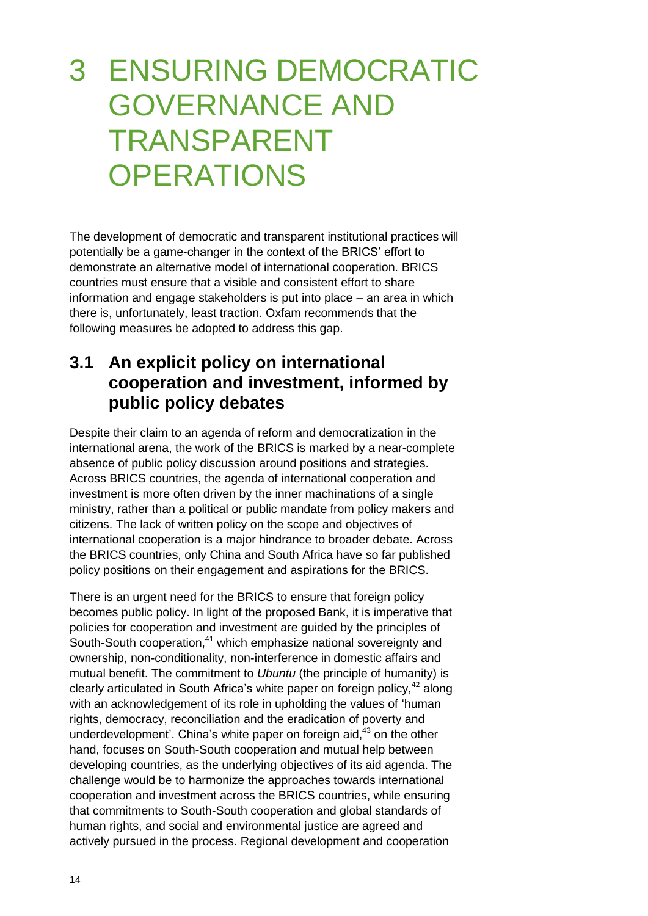## 3 ENSURING DEMOCRATIC GOVERNANCE AND TRANSPARENT **OPERATIONS**

The development of democratic and transparent institutional practices will potentially be a game-changer in the context of the BRICS' effort to demonstrate an alternative model of international cooperation. BRICS countries must ensure that a visible and consistent effort to share information and engage stakeholders is put into place – an area in which there is, unfortunately, least traction. Oxfam recommends that the following measures be adopted to address this gap.

#### **3.1 An explicit policy on international cooperation and investment, informed by public policy debates**

Despite their claim to an agenda of reform and democratization in the international arena, the work of the BRICS is marked by a near-complete absence of public policy discussion around positions and strategies. Across BRICS countries, the agenda of international cooperation and investment is more often driven by the inner machinations of a single ministry, rather than a political or public mandate from policy makers and citizens. The lack of written policy on the scope and objectives of international cooperation is a major hindrance to broader debate. Across the BRICS countries, only China and South Africa have so far published policy positions on their engagement and aspirations for the BRICS.

There is an urgent need for the BRICS to ensure that foreign policy becomes public policy. In light of the proposed Bank, it is imperative that policies for cooperation and investment are guided by the principles of South-South cooperation,<sup>41</sup> which emphasize national sovereignty and ownership, non-conditionality, non-interference in domestic affairs and mutual benefit. The commitment to *Ubuntu* (the principle of humanity) is clearly articulated in South Africa's white paper on foreign policy,<sup>42</sup> along with an acknowledgement of its role in upholding the values of 'human rights, democracy, reconciliation and the eradication of poverty and underdevelopment'. China's white paper on foreign aid,<sup>43</sup> on the other hand, focuses on South-South cooperation and mutual help between developing countries, as the underlying objectives of its aid agenda. The challenge would be to harmonize the approaches towards international cooperation and investment across the BRICS countries, while ensuring that commitments to South-South cooperation and global standards of human rights, and social and environmental justice are agreed and actively pursued in the process. Regional development and cooperation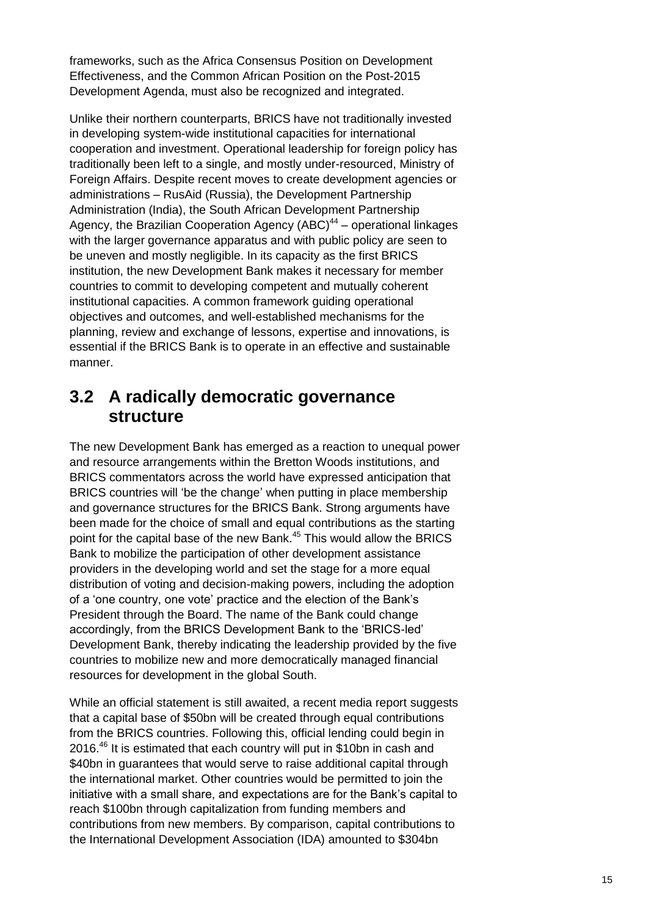frameworks, such as the Africa Consensus Position on Development Effectiveness, and the Common African Position on the Post-2015 Development Agenda, must also be recognized and integrated.

Unlike their northern counterparts, BRICS have not traditionally invested in developing system-wide institutional capacities for international cooperation and investment. Operational leadership for foreign policy has traditionally been left to a single, and mostly under-resourced, Ministry of Foreign Affairs. Despite recent moves to create development agencies or administrations – RusAid (Russia), the Development Partnership Administration (India), the South African Development Partnership Agency, the Brazilian Cooperation Agency  $(ABC)^{44}$  – operational linkages with the larger governance apparatus and with public policy are seen to be uneven and mostly negligible. In its capacity as the first BRICS institution, the new Development Bank makes it necessary for member countries to commit to developing competent and mutually coherent institutional capacities. A common framework guiding operational objectives and outcomes, and well-established mechanisms for the planning, review and exchange of lessons, expertise and innovations, is essential if the BRICS Bank is to operate in an effective and sustainable manner.

#### **3.2 A radically democratic governance structure**

The new Development Bank has emerged as a reaction to unequal power and resource arrangements within the Bretton Woods institutions, and BRICS commentators across the world have expressed anticipation that BRICS countries will 'be the change' when putting in place membership and governance structures for the BRICS Bank. Strong arguments have been made for the choice of small and equal contributions as the starting point for the capital base of the new Bank.<sup>45</sup> This would allow the BRICS Bank to mobilize the participation of other development assistance providers in the developing world and set the stage for a more equal distribution of voting and decision-making powers, including the adoption of a 'one country, one vote' practice and the election of the Bank's President through the Board. The name of the Bank could change accordingly, from the BRICS Development Bank to the 'BRICS-led' Development Bank, thereby indicating the leadership provided by the five countries to mobilize new and more democratically managed financial resources for development in the global South.

While an official statement is still awaited, a recent media report suggests that a capital base of \$50bn will be created through equal contributions from the BRICS countries. Following this, official lending could begin in 2016.<sup>46</sup> It is estimated that each country will put in \$10bn in cash and \$40bn in guarantees that would serve to raise additional capital through the international market. Other countries would be permitted to join the initiative with a small share, and expectations are for the Bank's capital to reach \$100bn through capitalization from funding members and contributions from new members. By comparison, capital contributions to the International Development Association (IDA) amounted to \$304bn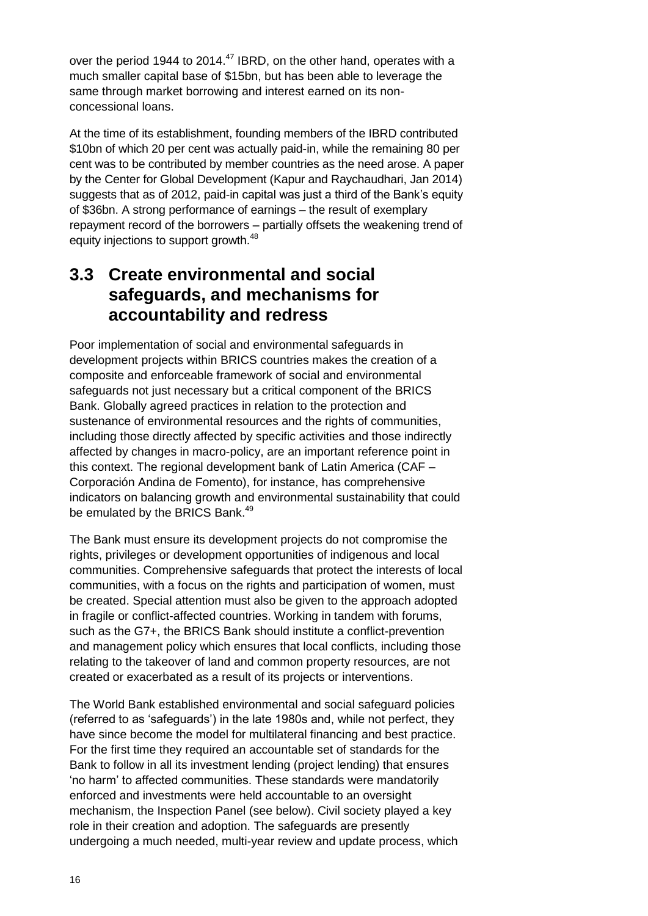over the period 1944 to 2014.<sup>47</sup> IBRD, on the other hand, operates with a much smaller capital base of \$15bn, but has been able to leverage the same through market borrowing and interest earned on its nonconcessional loans.

At the time of its establishment, founding members of the IBRD contributed \$10bn of which 20 per cent was actually paid-in, while the remaining 80 per cent was to be contributed by member countries as the need arose. A paper by the Center for Global Development (Kapur and Raychaudhari, Jan 2014) suggests that as of 2012, paid-in capital was just a third of the Bank's equity of \$36bn. A strong performance of earnings – the result of exemplary repayment record of the borrowers – partially offsets the weakening trend of equity injections to support growth.<sup>48</sup>

#### **3.3 Create environmental and social safeguards, and mechanisms for accountability and redress**

Poor implementation of social and environmental safeguards in development projects within BRICS countries makes the creation of a composite and enforceable framework of social and environmental safeguards not just necessary but a critical component of the BRICS Bank. Globally agreed practices in relation to the protection and sustenance of environmental resources and the rights of communities, including those directly affected by specific activities and those indirectly affected by changes in macro-policy, are an important reference point in this context. The regional development bank of Latin America (CAF – Corporación Andina de Fomento), for instance, has comprehensive indicators on balancing growth and environmental sustainability that could be emulated by the BRICS Bank.<sup>49</sup>

The Bank must ensure its development projects do not compromise the rights, privileges or development opportunities of indigenous and local communities. Comprehensive safeguards that protect the interests of local communities, with a focus on the rights and participation of women, must be created. Special attention must also be given to the approach adopted in fragile or conflict-affected countries. Working in tandem with forums, such as the G7+, the BRICS Bank should institute a conflict-prevention and management policy which ensures that local conflicts, including those relating to the takeover of land and common property resources, are not created or exacerbated as a result of its projects or interventions.

The World Bank established environmental and social safeguard policies (referred to as 'safeguards') in the late 1980s and, while not perfect, they have since become the model for multilateral financing and best practice. For the first time they required an accountable set of standards for the Bank to follow in all its investment lending (project lending) that ensures 'no harm' to affected communities. These standards were mandatorily enforced and investments were held accountable to an oversight mechanism, the Inspection Panel (see below). Civil society played a key role in their creation and adoption. The safeguards are presently undergoing a much needed, multi-year review and update process, which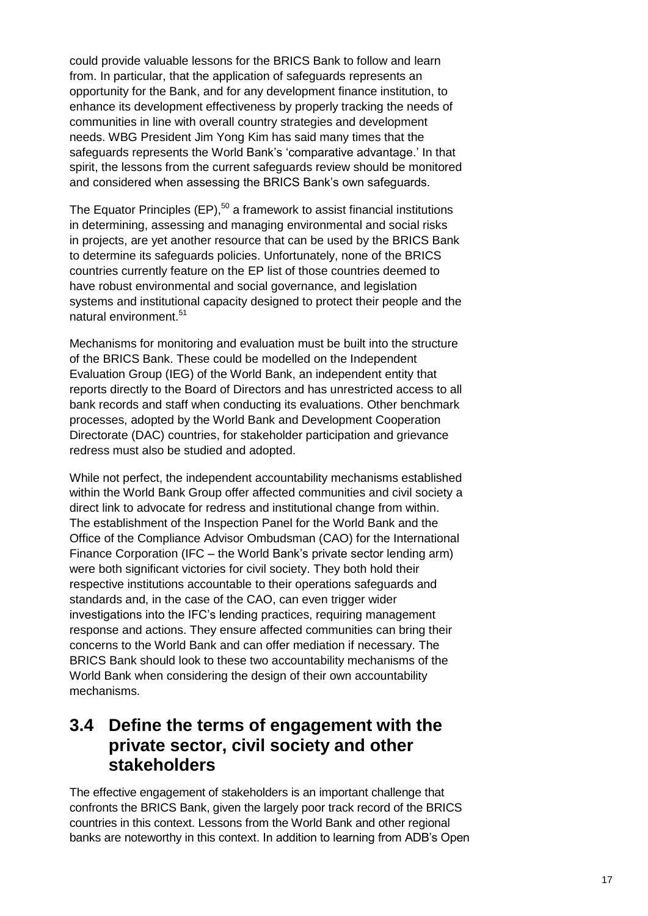could provide valuable lessons for the BRICS Bank to follow and learn from. In particular, that the application of safeguards represents an opportunity for the Bank, and for any development finance institution, to enhance its development effectiveness by properly tracking the needs of communities in line with overall country strategies and development needs. WBG President Jim Yong Kim has said many times that the safeguards represents the World Bank's 'comparative advantage.' In that spirit, the lessons from the current safeguards review should be monitored and considered when assessing the BRICS Bank's own safeguards.

The Equator Principles  $(EP)$ ,<sup>50</sup> a framework to assist financial institutions in determining, assessing and managing environmental and social risks in projects, are yet another resource that can be used by the BRICS Bank to determine its safeguards policies. Unfortunately, none of the BRICS countries currently feature on the EP list of those countries deemed to have robust environmental and social governance, and legislation systems and institutional capacity designed to protect their people and the natural environment.<sup>51</sup>

Mechanisms for monitoring and evaluation must be built into the structure of the BRICS Bank. These could be modelled on the Independent Evaluation Group (IEG) of the World Bank, an independent entity that reports directly to the Board of Directors and has unrestricted access to all bank records and staff when conducting its evaluations. Other benchmark processes, adopted by the World Bank and Development Cooperation Directorate (DAC) countries, for stakeholder participation and grievance redress must also be studied and adopted.

While not perfect, the independent accountability mechanisms established within the World Bank Group offer affected communities and civil society a direct link to advocate for redress and institutional change from within. The establishment of the Inspection Panel for the World Bank and the Office of the Compliance Advisor Ombudsman (CAO) for the International Finance Corporation (IFC – the World Bank's private sector lending arm) were both significant victories for civil society. They both hold their respective institutions accountable to their operations safeguards and standards and, in the case of the CAO, can even trigger wider investigations into the IFC's lending practices, requiring management response and actions. They ensure affected communities can bring their concerns to the World Bank and can offer mediation if necessary. The BRICS Bank should look to these two accountability mechanisms of the World Bank when considering the design of their own accountability mechanisms.

#### **3.4 Define the terms of engagement with the private sector, civil society and other stakeholders**

The effective engagement of stakeholders is an important challenge that confronts the BRICS Bank, given the largely poor track record of the BRICS countries in this context. Lessons from the World Bank and other regional banks are noteworthy in this context. In addition to learning from ADB's Open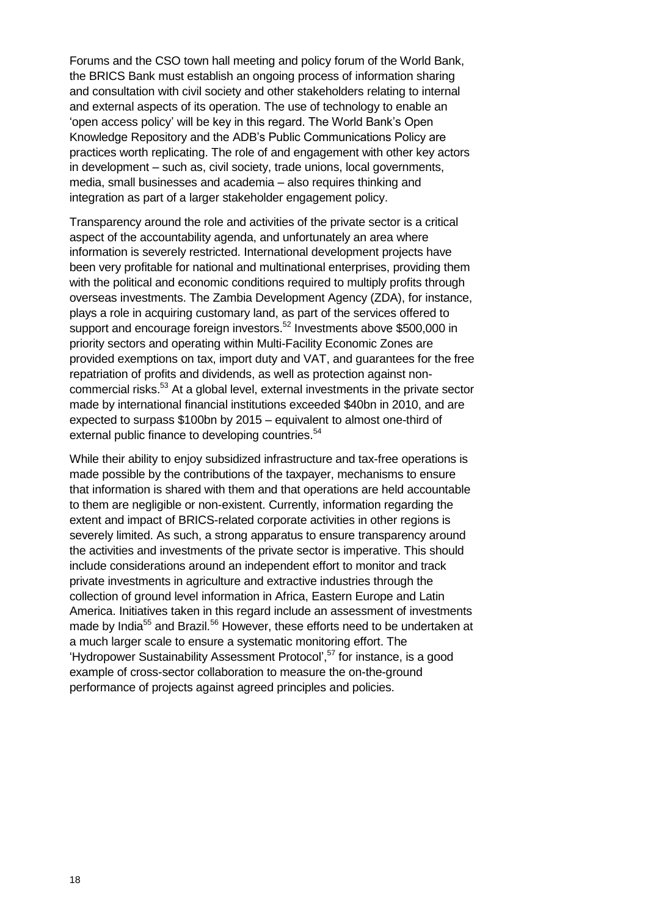Forums and the CSO town hall meeting and policy forum of the World Bank, the BRICS Bank must establish an ongoing process of information sharing and consultation with civil society and other stakeholders relating to internal and external aspects of its operation. The use of technology to enable an 'open access policy' will be key in this regard. The World Bank's Open Knowledge Repository and the ADB's Public Communications Policy are practices worth replicating. The role of and engagement with other key actors in development – such as, civil society, trade unions, local governments, media, small businesses and academia – also requires thinking and integration as part of a larger stakeholder engagement policy.

Transparency around the role and activities of the private sector is a critical aspect of the accountability agenda, and unfortunately an area where information is severely restricted. International development projects have been very profitable for national and multinational enterprises, providing them with the political and economic conditions required to multiply profits through overseas investments. The Zambia Development Agency (ZDA), for instance, plays a role in acquiring customary land, as part of the services offered to support and encourage foreign investors.<sup>52</sup> Investments above \$500,000 in priority sectors and operating within Multi-Facility Economic Zones are provided exemptions on tax, import duty and VAT, and guarantees for the free repatriation of profits and dividends, as well as protection against noncommercial risks.<sup>53</sup> At a global level, external investments in the private sector made by international financial institutions exceeded \$40bn in 2010, and are expected to surpass \$100bn by 2015 – equivalent to almost one-third of external public finance to developing countries.<sup>54</sup>

While their ability to enjoy subsidized infrastructure and tax-free operations is made possible by the contributions of the taxpayer, mechanisms to ensure that information is shared with them and that operations are held accountable to them are negligible or non-existent. Currently, information regarding the extent and impact of BRICS-related corporate activities in other regions is severely limited. As such, a strong apparatus to ensure transparency around the activities and investments of the private sector is imperative. This should include considerations around an independent effort to monitor and track private investments in agriculture and extractive industries through the collection of ground level information in Africa, Eastern Europe and Latin America. Initiatives taken in this regard include an assessment of investments made by India<sup>55</sup> and Brazil.<sup>56</sup> However, these efforts need to be undertaken at a much larger scale to ensure a systematic monitoring effort. The 'Hydropower Sustainability Assessment Protocol', <sup>57</sup> for instance, is a good example of cross-sector collaboration to measure the on-the-ground performance of projects against agreed principles and policies.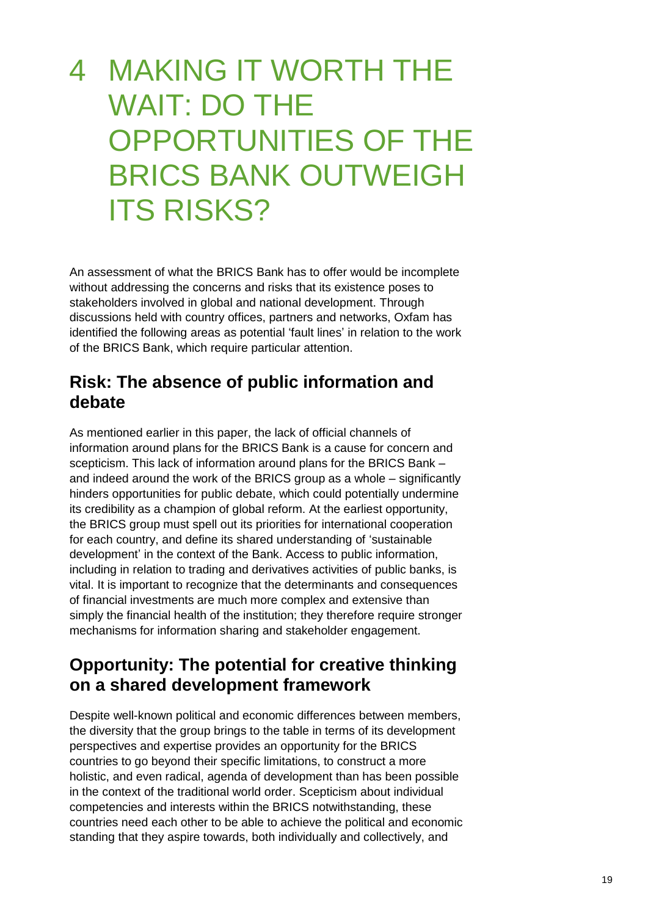## 4 MAKING IT WORTH THE WAIT: DO THE OPPORTUNITIES OF THE BRICS BANK OUTWEIGH **ITS RISKS?**

An assessment of what the BRICS Bank has to offer would be incomplete without addressing the concerns and risks that its existence poses to stakeholders involved in global and national development. Through discussions held with country offices, partners and networks, Oxfam has identified the following areas as potential 'fault lines' in relation to the work of the BRICS Bank, which require particular attention.

#### **Risk: The absence of public information and debate**

As mentioned earlier in this paper, the lack of official channels of information around plans for the BRICS Bank is a cause for concern and scepticism. This lack of information around plans for the BRICS Bank – and indeed around the work of the BRICS group as a whole – significantly hinders opportunities for public debate, which could potentially undermine its credibility as a champion of global reform. At the earliest opportunity, the BRICS group must spell out its priorities for international cooperation for each country, and define its shared understanding of 'sustainable development' in the context of the Bank. Access to public information, including in relation to trading and derivatives activities of public banks, is vital. It is important to recognize that the determinants and consequences of financial investments are much more complex and extensive than simply the financial health of the institution; they therefore require stronger mechanisms for information sharing and stakeholder engagement.

#### **Opportunity: The potential for creative thinking on a shared development framework**

Despite well-known political and economic differences between members, the diversity that the group brings to the table in terms of its development perspectives and expertise provides an opportunity for the BRICS countries to go beyond their specific limitations, to construct a more holistic, and even radical, agenda of development than has been possible in the context of the traditional world order. Scepticism about individual competencies and interests within the BRICS notwithstanding, these countries need each other to be able to achieve the political and economic standing that they aspire towards, both individually and collectively, and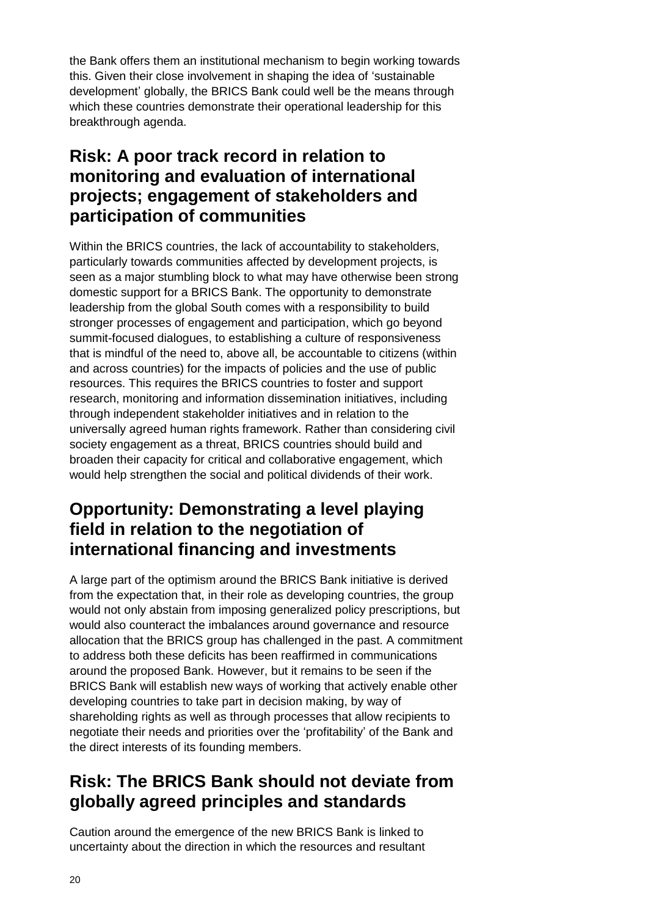the Bank offers them an institutional mechanism to begin working towards this. Given their close involvement in shaping the idea of 'sustainable development' globally, the BRICS Bank could well be the means through which these countries demonstrate their operational leadership for this breakthrough agenda.

#### **Risk: A poor track record in relation to monitoring and evaluation of international projects; engagement of stakeholders and participation of communities**

Within the BRICS countries, the lack of accountability to stakeholders, particularly towards communities affected by development projects, is seen as a major stumbling block to what may have otherwise been strong domestic support for a BRICS Bank. The opportunity to demonstrate leadership from the global South comes with a responsibility to build stronger processes of engagement and participation, which go beyond summit-focused dialogues, to establishing a culture of responsiveness that is mindful of the need to, above all, be accountable to citizens (within and across countries) for the impacts of policies and the use of public resources. This requires the BRICS countries to foster and support research, monitoring and information dissemination initiatives, including through independent stakeholder initiatives and in relation to the universally agreed human rights framework. Rather than considering civil society engagement as a threat, BRICS countries should build and broaden their capacity for critical and collaborative engagement, which would help strengthen the social and political dividends of their work.

#### **Opportunity: Demonstrating a level playing field in relation to the negotiation of international financing and investments**

A large part of the optimism around the BRICS Bank initiative is derived from the expectation that, in their role as developing countries, the group would not only abstain from imposing generalized policy prescriptions, but would also counteract the imbalances around governance and resource allocation that the BRICS group has challenged in the past. A commitment to address both these deficits has been reaffirmed in communications around the proposed Bank. However, but it remains to be seen if the BRICS Bank will establish new ways of working that actively enable other developing countries to take part in decision making, by way of shareholding rights as well as through processes that allow recipients to negotiate their needs and priorities over the 'profitability' of the Bank and the direct interests of its founding members.

### **Risk: The BRICS Bank should not deviate from globally agreed principles and standards**

Caution around the emergence of the new BRICS Bank is linked to uncertainty about the direction in which the resources and resultant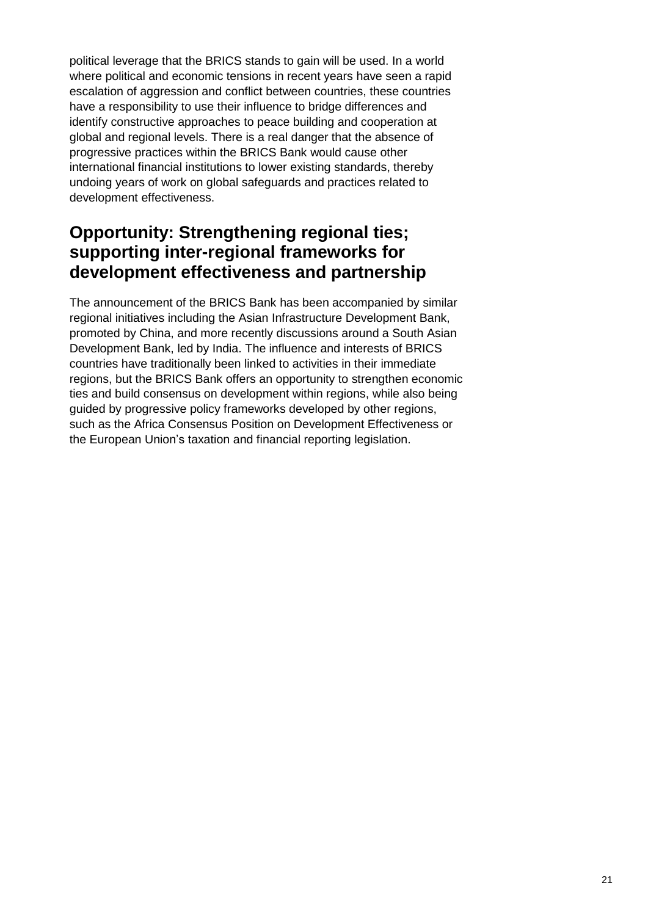political leverage that the BRICS stands to gain will be used. In a world where political and economic tensions in recent years have seen a rapid escalation of aggression and conflict between countries, these countries have a responsibility to use their influence to bridge differences and identify constructive approaches to peace building and cooperation at global and regional levels. There is a real danger that the absence of progressive practices within the BRICS Bank would cause other international financial institutions to lower existing standards, thereby undoing years of work on global safeguards and practices related to development effectiveness.

### **Opportunity: Strengthening regional ties; supporting inter-regional frameworks for development effectiveness and partnership**

The announcement of the BRICS Bank has been accompanied by similar regional initiatives including the Asian Infrastructure Development Bank, promoted by China, and more recently discussions around a South Asian Development Bank, led by India. The influence and interests of BRICS countries have traditionally been linked to activities in their immediate regions, but the BRICS Bank offers an opportunity to strengthen economic ties and build consensus on development within regions, while also being guided by progressive policy frameworks developed by other regions, such as the Africa Consensus Position on Development Effectiveness or the European Union's taxation and financial reporting legislation.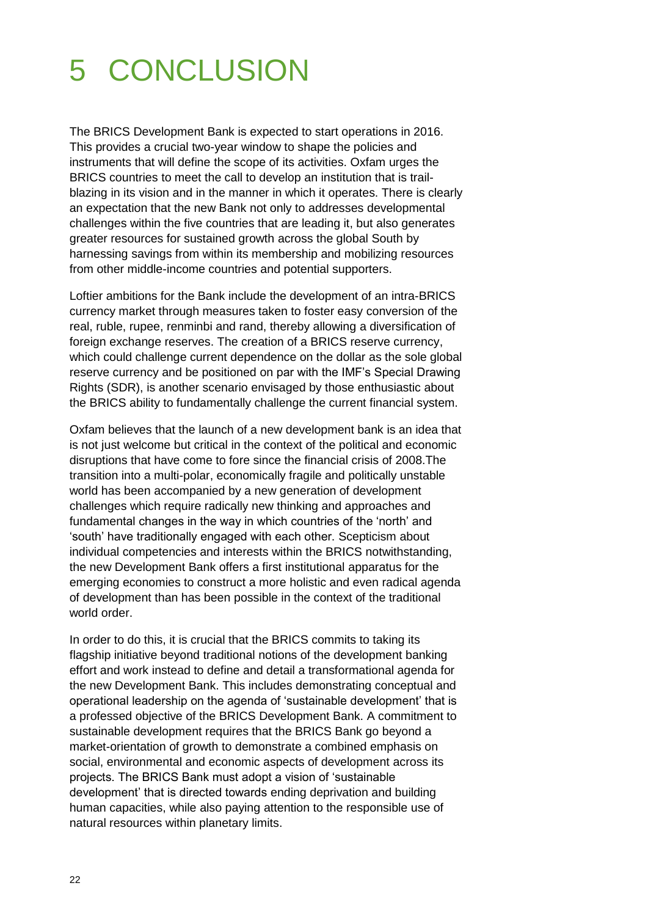# 5 CONCLUSION

The BRICS Development Bank is expected to start operations in 2016. This provides a crucial two-year window to shape the policies and instruments that will define the scope of its activities. Oxfam urges the BRICS countries to meet the call to develop an institution that is trailblazing in its vision and in the manner in which it operates. There is clearly an expectation that the new Bank not only to addresses developmental challenges within the five countries that are leading it, but also generates greater resources for sustained growth across the global South by harnessing savings from within its membership and mobilizing resources from other middle-income countries and potential supporters.

Loftier ambitions for the Bank include the development of an intra-BRICS currency market through measures taken to foster easy conversion of the real, ruble, rupee, renminbi and rand, thereby allowing a diversification of foreign exchange reserves. The creation of a BRICS reserve currency, which could challenge current dependence on the dollar as the sole global reserve currency and be positioned on par with the IMF's Special Drawing Rights (SDR), is another scenario envisaged by those enthusiastic about the BRICS ability to fundamentally challenge the current financial system.

Oxfam believes that the launch of a new development bank is an idea that is not just welcome but critical in the context of the political and economic disruptions that have come to fore since the financial crisis of 2008.The transition into a multi-polar, economically fragile and politically unstable world has been accompanied by a new generation of development challenges which require radically new thinking and approaches and fundamental changes in the way in which countries of the 'north' and 'south' have traditionally engaged with each other. Scepticism about individual competencies and interests within the BRICS notwithstanding, the new Development Bank offers a first institutional apparatus for the emerging economies to construct a more holistic and even radical agenda of development than has been possible in the context of the traditional world order.

In order to do this, it is crucial that the BRICS commits to taking its flagship initiative beyond traditional notions of the development banking effort and work instead to define and detail a transformational agenda for the new Development Bank. This includes demonstrating conceptual and operational leadership on the agenda of 'sustainable development' that is a professed objective of the BRICS Development Bank. A commitment to sustainable development requires that the BRICS Bank go beyond a market-orientation of growth to demonstrate a combined emphasis on social, environmental and economic aspects of development across its projects. The BRICS Bank must adopt a vision of 'sustainable development' that is directed towards ending deprivation and building human capacities, while also paying attention to the responsible use of natural resources within planetary limits.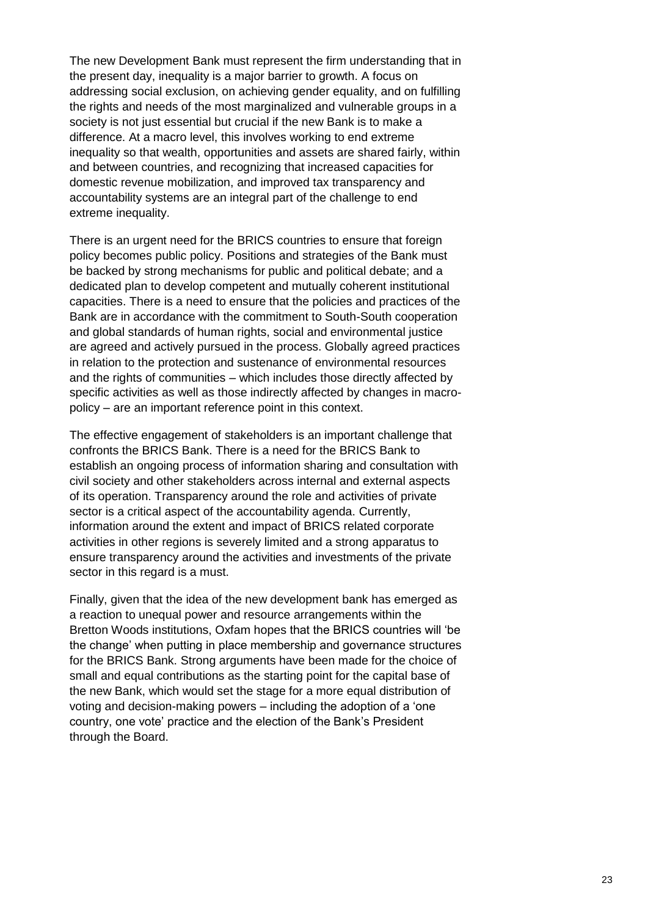The new Development Bank must represent the firm understanding that in the present day, inequality is a major barrier to growth. A focus on addressing social exclusion, on achieving gender equality, and on fulfilling the rights and needs of the most marginalized and vulnerable groups in a society is not just essential but crucial if the new Bank is to make a difference. At a macro level, this involves working to end extreme inequality so that wealth, opportunities and assets are shared fairly, within and between countries, and recognizing that increased capacities for domestic revenue mobilization, and improved tax transparency and accountability systems are an integral part of the challenge to end extreme inequality.

There is an urgent need for the BRICS countries to ensure that foreign policy becomes public policy. Positions and strategies of the Bank must be backed by strong mechanisms for public and political debate; and a dedicated plan to develop competent and mutually coherent institutional capacities. There is a need to ensure that the policies and practices of the Bank are in accordance with the commitment to South-South cooperation and global standards of human rights, social and environmental justice are agreed and actively pursued in the process. Globally agreed practices in relation to the protection and sustenance of environmental resources and the rights of communities – which includes those directly affected by specific activities as well as those indirectly affected by changes in macropolicy – are an important reference point in this context.

The effective engagement of stakeholders is an important challenge that confronts the BRICS Bank. There is a need for the BRICS Bank to establish an ongoing process of information sharing and consultation with civil society and other stakeholders across internal and external aspects of its operation. Transparency around the role and activities of private sector is a critical aspect of the accountability agenda. Currently, information around the extent and impact of BRICS related corporate activities in other regions is severely limited and a strong apparatus to ensure transparency around the activities and investments of the private sector in this regard is a must.

Finally, given that the idea of the new development bank has emerged as a reaction to unequal power and resource arrangements within the Bretton Woods institutions, Oxfam hopes that the BRICS countries will 'be the change' when putting in place membership and governance structures for the BRICS Bank. Strong arguments have been made for the choice of small and equal contributions as the starting point for the capital base of the new Bank, which would set the stage for a more equal distribution of voting and decision-making powers – including the adoption of a 'one country, one vote' practice and the election of the Bank's President through the Board.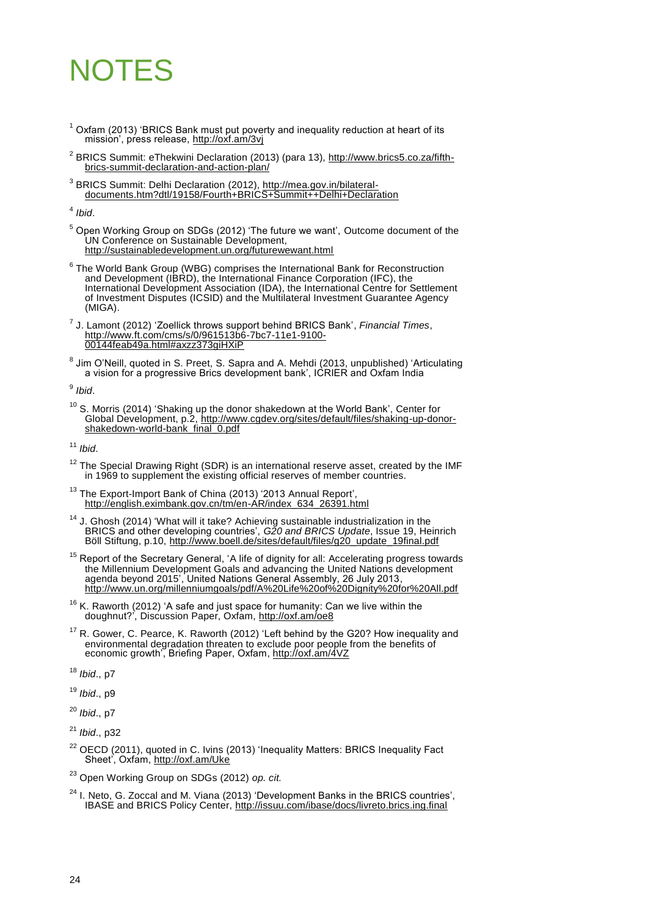# NOTES

- $1$  Oxfam (2013) 'BRICS Bank must put poverty and inequality reduction at heart of its mission', press release,<http://oxf.am/3vj>
- <sup>2</sup> [BRICS Summit: eThekwini](http://www.brics5.co.za/about-brics/summit-declaration/fifth-summit/) Declaration (2013) (para 13)[, http://www.brics5.co.za/fifth](http://www.brics5.co.za/fifth-brics-summit-declaration-and-action-plan/)[brics-summit-declaration-and-action-plan/](http://www.brics5.co.za/fifth-brics-summit-declaration-and-action-plan/)
- <sup>3</sup> [BRICS Summit: Delhi Declaration](http://www.cfr.org/brazil/brics-summit-delhi-declaration/p27805) (2012), [http://mea.gov.in/bilateral](http://mea.gov.in/bilateral-documents.htm?dtl/19158/Fourth+BRICS+Summit++Delhi+Declaration)[documents.htm?dtl/19158/Fourth+BRICS+Summit++Delhi+Declaration](http://mea.gov.in/bilateral-documents.htm?dtl/19158/Fourth+BRICS+Summit++Delhi+Declaration)

4 *Ibid*.

<sup>5</sup> Open Working Group on SDGs (2012) 'The future we want', Outcome document of the UN Conference on Sustainable Development, <http://sustainabledevelopment.un.org/futurewewant.html>

 $^6$  The World Bank Group (WBG) comprises the International Bank for Reconstruction and Development (IBRD), the International Finance Corporation (IFC), the International Development Association (IDA), the International Centre for Settlement of Investment Disputes (ICSID) and the Multilateral Investment Guarantee Agency (MIGA).

7 J. Lamont (2012) ['Zoellick throws support behind BRICS Bank',](http://www.ft.com/intl/cms/s/0/961513b6-7bc7-11e1-9100-00144feab49a.html#axzz35YYB8b1P) *Financial Times*, [http://www.ft.com/cms/s/0/961513b6-7bc7-11e1-9100-](http://www.ft.com/cms/s/0/961513b6-7bc7-11e1-9100-00144feab49a.html#axzz373giHXiP) [00144feab49a.html#axzz373giHXiP](http://www.ft.com/cms/s/0/961513b6-7bc7-11e1-9100-00144feab49a.html#axzz373giHXiP)

<sup>8</sup> Jim O'Neill, quoted in S. Preet, S. Sapra and A. Mehdi (2013, unpublished) 'Articulating a vision for a progressive Brics development bank', ICRIER and Oxfam India

9 *Ibid*.

 $10$  S. Morris (2014) 'Shaking up the [donor shakedown at the World Bank',](http://www.cgdev.org/sites/default/files/shaking-up-donor-shakedown-world-bank_final_0.pdf) Center for Global Development, p.2, [http://www.cgdev.org/sites/default/files/shaking-up-donor](http://www.cgdev.org/sites/default/files/shaking-up-donor-shakedown-world-bank_final_0.pdf)[shakedown-world-bank\\_final\\_0.pdf](http://www.cgdev.org/sites/default/files/shaking-up-donor-shakedown-world-bank_final_0.pdf)

<sup>11</sup> *Ibid*.

 $12$  The Special Drawing Right (SDR) is an international reserve asset, created by the IMF in 1969 to supplement the existing official reserves of member countries.

<sup>13</sup> The Export-Import Bank of China (2013) '2013 Annual Report', [http://english.eximbank.gov.cn/tm/en-AR/index\\_634\\_26391.html](http://english.eximbank.gov.cn/tm/en-AR/index_634_26391.html)

 $14$  J. Ghosh (2014) 'What will it take? Achieving sustainable industrialization in the BRICS and other developing countries', *G20 and BRICS Update*, Issue 19, Heinrich Böll Stiftung, p.10, [http://www.boell.de/sites/default/files/g20\\_update\\_19final.pdf](http://www.boell.de/sites/default/files/g20_update_19final.pdf)

<sup>15</sup> Report of the Secretary General, 'A life of dignity for all: Accelerating progress towards [the Millennium Development Goals and advancing the United Nations development](http://www.un.org/ga/search/view_doc.asp?symbol=A/68/202)  [agenda beyond 2015',](http://www.un.org/ga/search/view_doc.asp?symbol=A/68/202) United Nations General Assembly, 26 July 2013, <http://www.un.org/millenniumgoals/pdf/A%20Life%20of%20Dignity%20for%20All.pdf>

 $16$  K. Raworth (2012) 'A safe and just space for humanity: Can we live within the doughnut?', Discussion Paper, Oxfam,<http://oxf.am/oe8>

<sup>17</sup> R. Gower, C. Pearce, K. Raworth (2012) 'Left behind by the G20? How inequality and environmental degradation threaten to exclude poor people from the benefits of economic growth', Briefing Paper, Oxfam[, http://oxf.am/4VZ](http://oxf.am/4VZ)

<sup>18</sup> *Ibid*., p7

<sup>19</sup> *Ibid*., p9

<sup>20</sup> *Ibid*., p7

<sup>21</sup> *Ibid*., p32

 $22$  OECD (2011), quoted in C. Ivins (2013) 'Inequality Matters: BRICS Inequality Fact Sheet', Oxfam,<http://oxf.am/Uke>

<sup>23</sup> Open Working Group on SDGs (2012) *op. cit.*

 $24$  I. Neto, G. Zoccal and M. Viana (2013) 'Development Banks in the BRICS countries', IBASE and BRICS Policy Center,<http://issuu.com/ibase/docs/livreto.brics.ing.final>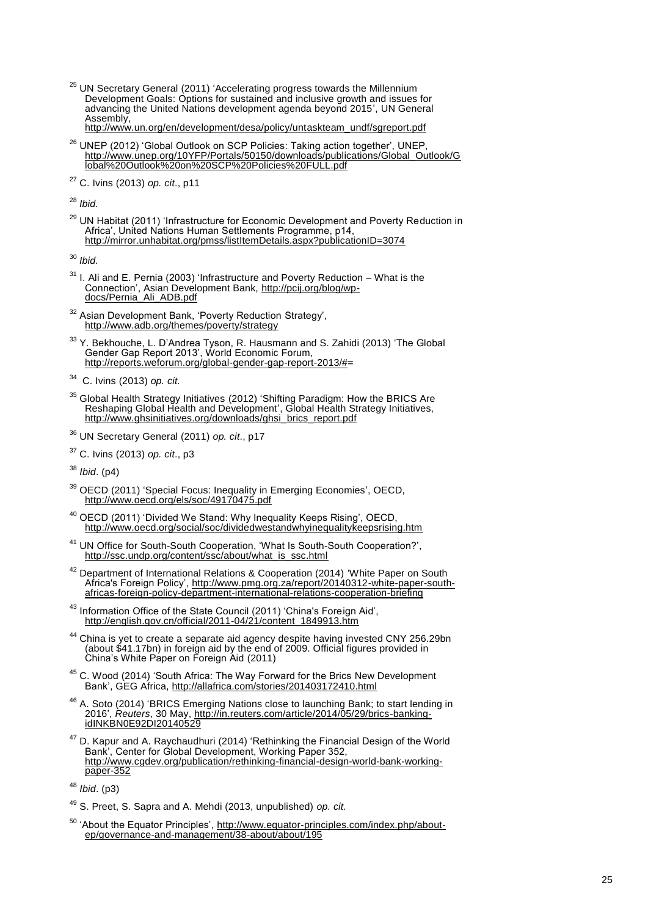$^{25}$  UN Secretary General (2011) 'Accelerating progress towards the Millennium [Development Goals: Options for sustained](http://www.ipc-undp.org/pressroom/files/ipc629.pdf) and inclusive growth and issues for [advancing the United Nations development agenda beyond 2015',](http://www.ipc-undp.org/pressroom/files/ipc629.pdf) UN General Assembly,

[http://www.un.org/en/development/desa/policy/untaskteam\\_undf/sgreport.pdf](http://www.un.org/en/development/desa/policy/untaskteam_undf/sgreport.pdf)

- $^{26}$  UNEP (2012) 'Global Outlook on SCP Policies: Taking action together', UNEP, [http://www.unep.org/10YFP/Portals/50150/downloads/publications/Global\\_Outlook/G](http://www.unep.org/10YFP/Portals/50150/downloads/publications/Global_Outlook/Global%20Outlook%20on%20SCP%20Policies%20FULL.pdf) [lobal%20Outlook%20on%20SCP%20Policies%20FULL.pdf](http://www.unep.org/10YFP/Portals/50150/downloads/publications/Global_Outlook/Global%20Outlook%20on%20SCP%20Policies%20FULL.pdf)
- <sup>27</sup> C. Ivins (2013) *op. cit*., p11

<sup>28</sup> *Ibid.*

<sup>29</sup> UN Habitat (2011) 'Infrastructure for Economic Development and Poverty Reduction in Africa', United Nations Human Settlements Programme, p14, <http://mirror.unhabitat.org/pmss/listItemDetails.aspx?publicationID=3074>

<sup>30</sup> *Ibid.*

- $31$  I. Ali and E. Pernia (2003) 'Infrastructure and Poverty Reduction What is the Connection', Asian Development Bank, [http://pcij.org/blog/wp](http://pcij.org/blog/wp-docs/Pernia_Ali_ADB.pdf)[docs/Pernia\\_Ali\\_ADB.pdf](http://pcij.org/blog/wp-docs/Pernia_Ali_ADB.pdf)
- <sup>32</sup> Asian Development Bank, 'Poverty Reduction Strategy', <http://www.adb.org/themes/poverty/strategy>
- $33$  Y. Bekhouche, L. D'Andrea Tyson, R. Hausmann and S. Zahidi (2013) 'The Global Gender Gap Report 2013', World Economic Forum, [http://reports.weforum.org/global-gender-gap-report-2013/#=](http://reports.weforum.org/global-gender-gap-report-2013/)

- $35$  Global Health Strategy Initiatives (2012) 'Shifting Paradigm: How the BRICS Are [Reshaping Global Health and Development'](http://ghsinitiatives.org/downloads/ghsi_brics_report.pdf), Global Health Strategy Initiatives, [http://www.ghsinitiatives.org/downloads/ghsi\\_brics\\_report.pdf](http://www.ghsinitiatives.org/downloads/ghsi_brics_report.pdf)
- <sup>36</sup> UN Secretary General (2011) *op. cit*., p17
- <sup>37</sup> C. Ivins (2013) *op. cit*., p3

<sup>38</sup> *Ibid*. (p4)

- $39$  OECD (2011) ['Special Focus: Inequality in Emerging Economies',](http://www.oecd.org/els/soc/49170475.pdf) OECD, <http://www.oecd.org/els/soc/49170475.pdf>
- $^{40}$  OECD (2011) 'Divided We Stand: Why Inequality Keeps Rising', OECD, <http://www.oecd.org/social/soc/dividedwestandwhyinequalitykeepsrising.htm>
- <sup>41</sup> UN Office for South-South Cooperation, 'What Is South-South Cooperation?', [http://ssc.undp.org/content/ssc/about/what\\_is\\_ssc.html](http://ssc.undp.org/content/ssc/about/what_is_ssc.html)
- $42$  Department of International Relations & Cooperation (2014) 'White Paper on South Africa's Foreign Policy', [http://www.pmg.org.za/report/20140312-white-paper-south](http://www.pmg.org.za/report/20140312-white-paper-south-africas-foreign-policy-department-international-relations-cooperation-briefing)[africas-foreign-policy-department-international-relations-cooperation-briefing](http://www.pmg.org.za/report/20140312-white-paper-south-africas-foreign-policy-department-international-relations-cooperation-briefing)
- <sup>43</sup> Information Office of the State Council (2011) 'China's Foreign Aid', [http://english.gov.cn/official/2011-04/21/content\\_1849913.htm](http://english.gov.cn/official/2011-04/21/content_1849913.htm)
- $44$  China is yet to create a separate aid agency despite having invested CNY 256.29bn (about \$41.17bn) in foreign aid by the end of 2009. Official figures provided in [China's White Paper on Foreign Aid](http://www.scio.gov.cn/ztk/dtzt/65/12/Document/1060805/1060805_2.htm) (2011)
- $45$  C. Wood (2014) 'South Africa: The Way Forward for the Brics New Development Bank', GEG Africa,<http://allafrica.com/stories/201403172410.html>
- <sup>46</sup> A. Soto (2014) 'BRICS Emerging Nations close to launching Bank; to start lending in [2016',](http://in.reuters.com/article/2014/05/29/brics-banking-idINKBN0E92DI20140529) *Reuters*, 30 May, [http://in.reuters.com/article/2014/05/29/brics-banking](http://in.reuters.com/article/2014/05/29/brics-banking-idINKBN0E92DI20140529)[idINKBN0E92DI20140529](http://in.reuters.com/article/2014/05/29/brics-banking-idINKBN0E92DI20140529)
- $^{47}$  D. Kapur and A. Raychaudhuri (2014) 'Rethinking the Financial Design of the World Bank', Center for Global Development, Working Paper 352, [http://www.cgdev.org/publication/rethinking-financial-design-world-bank-working](http://www.cgdev.org/publication/rethinking-financial-design-world-bank-working-paper-352)[paper-352](http://www.cgdev.org/publication/rethinking-financial-design-world-bank-working-paper-352)

- <sup>49</sup> S. Preet, S. Sapra and A. Mehdi (2013, unpublished) *op. cit.*
- <sup>50</sup> 'About the Equator Principles', [http://www.equator-principles.com/index.php/about](http://www.equator-principles.com/index.php/about-ep/governance-and-management/38-about/about/195)[ep/governance-and-management/38-about/about/195](http://www.equator-principles.com/index.php/about-ep/governance-and-management/38-about/about/195)

<sup>34</sup> C. Ivins (2013) *op. cit.*

<sup>48</sup> *Ibid*. (p3)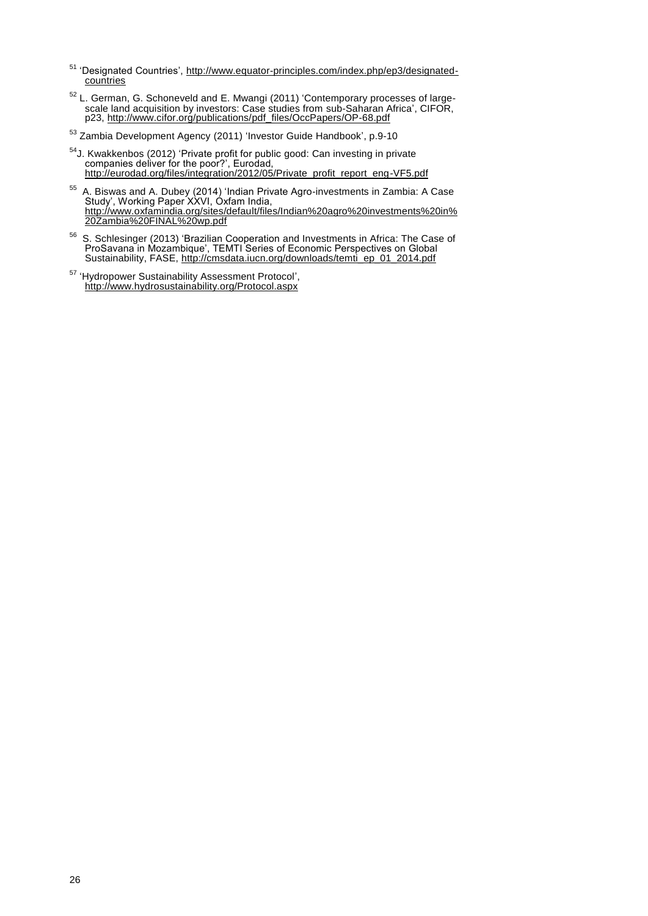- <sup>51</sup> 'Designated Countries', [http://www.equator-principles.com/index.php/ep3/designated](http://www.equator-principles.com/index.php/ep3/designated-countries)**countries**
- $52$  L. German, G. Schoneveld and E. Mwangi (2011) ['Contemporary processes of large](http://www.cifor.org/publications/pdf_files/OccPapers/OP-68.pdf)[scale land acquisition by investors: Case studies from sub-Saharan Africa',](http://www.cifor.org/publications/pdf_files/OccPapers/OP-68.pdf) CIFOR, p23, [http://www.cifor.org/publications/pdf\\_files/OccPapers/OP-68.pdf](http://www.cifor.org/publications/pdf_files/OccPapers/OP-68.pdf)
- <sup>53</sup> Zambia Development Agency (2011) 'Investor Guide Handbook', p.9-10
- <sup>54</sup>J. Kwakkenbos (2012) 'Private profit for public good: Can investing in private companies deliver for the poor?', Eurodad, [http://eurodad.org/files/integration/2012/05/Private\\_profit\\_report\\_eng-VF5.pdf](http://eurodad.org/files/integration/2012/05/Private_profit_report_eng-VF5.pdf)
- $55$  A. Biswas and A. Dubey (2014) 'Indian Private Agro-investments in Zambia: A Case Study', Working Paper XXVI, Oxfam India, [http://www.oxfamindia.org/sites/default/files/Indian%20agro%20investments%20in%](http://www.oxfamindia.org/sites/default/files/Indian%20agro%20investments%20in%20Zambia%20FINAL%20wp.pdf) [20Zambia%20FINAL%20wp.pdf](http://www.oxfamindia.org/sites/default/files/Indian%20agro%20investments%20in%20Zambia%20FINAL%20wp.pdf)
- $56$  S. Schlesinger (2013) 'Brazilian Cooperation and Investments in Africa: The Case of ProSavana in Mozambique', TEMTI Series of Economic Perspectives on Global Sustainability, FASE, [http://cmsdata.iucn.org/downloads/temti\\_ep\\_01\\_2014.pdf](http://cmsdata.iucn.org/downloads/temti_ep_01_2014.pdf)
- <sup>57</sup> 'Hydropower Sustainability Assessment Protocol', <http://www.hydrosustainability.org/Protocol.aspx>